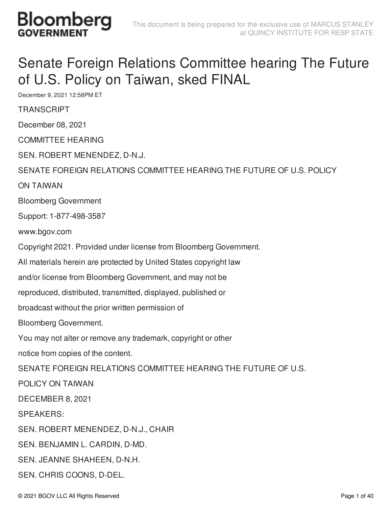

#### Senate Foreign Relations Committee hearing The Future of U.S. Policy on Taiwan, sked FINAL

December 9, 2021 12:58PM ET

**TRANSCRIPT** 

December 08, 2021

COMMITTEE HEARING

SEN. ROBERT MENENDEZ, D-N.J.

SENATE FOREIGN RELATIONS COMMITTEE HEARING THE FUTURE OF U.S. POLICY

ON TAIWAN

Bloomberg Government

Support: 1-877-498-3587

www.bgov.com

Copyright 2021. Provided under license from Bloomberg Government.

All materials herein are protected by United States copyright law

and/or license from Bloomberg Government, and may not be

reproduced, distributed, transmitted, displayed, published or

broadcast without the prior written permission of

Bloomberg Government.

You may not alter or remove any trademark, copyright or other

notice from copies of the content.

SENATE FOREIGN RELATIONS COMMITTEE HEARING THE FUTURE OF U.S.

POLICY ON TAIWAN

DECEMBER 8, 2021

SPEAKERS:

SEN. ROBERT MENENDEZ, D-N.J., CHAIR

SEN. BENJAMIN L. CARDIN, D-MD.

SEN. JEANNE SHAHEEN, D-N.H.

SEN. CHRIS COONS, D-DEL.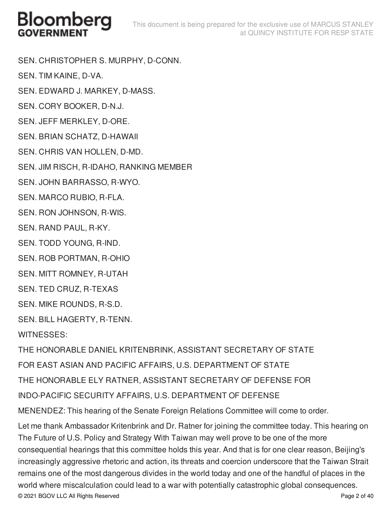SEN. CHRISTOPHER S. MURPHY, D-CONN.

SEN. TIM KAINE, D-VA.

SEN. EDWARD J. MARKEY, D-MASS.

SEN. CORY BOOKER, D-N.J.

SEN. JEFF MERKLEY, D-ORE.

SEN. BRIAN SCHATZ, D-HAWAII

SEN. CHRIS VAN HOLLEN, D-MD.

SEN. JIM RISCH, R-IDAHO, RANKING MEMBER

SEN. JOHN BARRASSO, R-WYO.

SEN. MARCO RUBIO, R-FLA.

SEN. RON JOHNSON, R-WIS.

SEN. RAND PAUL, R-KY.

SEN. TODD YOUNG, R-IND.

SEN. ROB PORTMAN, R-OHIO

SEN. MITT ROMNEY, R-UTAH

SEN. TED CRUZ, R-TEXAS

SEN. MIKE ROUNDS, R-S.D.

SEN. BILL HAGERTY, R-TENN.

WITNESSES:

THE HONORABLE DANIEL KRITENBRINK, ASSISTANT SECRETARY OF STATE FOR EAST ASIAN AND PACIFIC AFFAIRS, U.S. DEPARTMENT OF STATE THE HONORABLE ELY RATNER, ASSISTANT SECRETARY OF DEFENSE FOR INDO-PACIFIC SECURITY AFFAIRS, U.S. DEPARTMENT OF DEFENSE MENENDEZ: This hearing of the Senate Foreign Relations Committee will come to order. Let me thank Ambassador Kritenbrink and Dr. Ratner for joining the committee today. This hearing on

The Future of U.S. Policy and Strategy With Taiwan may well prove to be one of the more consequential hearings that this committee holds this year. And that is for one clear reason, Beijing's increasingly aggressive rhetoric and action, its threats and coercion underscore that the Taiwan Strait remains one of the most dangerous divides in the world today and one of the handful of places in the world where miscalculation could lead to a war with potentially catastrophic global consequences. © 2021 BGOV LLC All Rights Reserved Page 2 of 40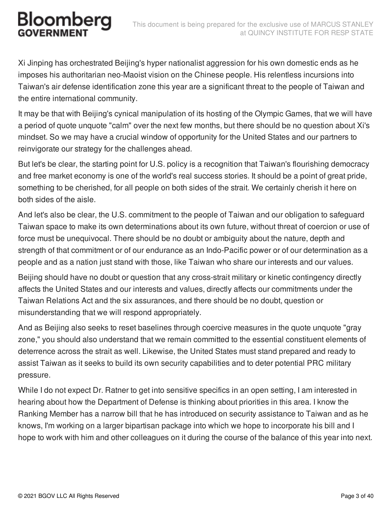Xi Jinping has orchestrated Beijing's hyper nationalist aggression for his own domestic ends as he imposes his authoritarian neo-Maoist vision on the Chinese people. His relentless incursions into Taiwan's air defense identification zone this year are a significant threat to the people of Taiwan and the entire international community.

It may be that with Beijing's cynical manipulation of its hosting of the Olympic Games, that we will have a period of quote unquote "calm" over the next few months, but there should be no question about Xi's mindset. So we may have a crucial window of opportunity for the United States and our partners to reinvigorate our strategy for the challenges ahead.

But let's be clear, the starting point for U.S. policy is a recognition that Taiwan's flourishing democracy and free market economy is one of the world's real success stories. It should be a point of great pride, something to be cherished, for all people on both sides of the strait. We certainly cherish it here on both sides of the aisle.

And let's also be clear, the U.S. commitment to the people of Taiwan and our obligation to safeguard Taiwan space to make its own determinations about its own future, without threat of coercion or use of force must be unequivocal. There should be no doubt or ambiguity about the nature, depth and strength of that commitment or of our endurance as an Indo-Pacific power or of our determination as a people and as a nation just stand with those, like Taiwan who share our interests and our values.

Beijing should have no doubt or question that any cross-strait military or kinetic contingency directly affects the United States and our interests and values, directly affects our commitments under the Taiwan Relations Act and the six assurances, and there should be no doubt, question or misunderstanding that we will respond appropriately.

And as Beijing also seeks to reset baselines through coercive measures in the quote unquote "gray zone," you should also understand that we remain committed to the essential constituent elements of deterrence across the strait as well. Likewise, the United States must stand prepared and ready to assist Taiwan as it seeks to build its own security capabilities and to deter potential PRC military pressure.

While I do not expect Dr. Ratner to get into sensitive specifics in an open setting, I am interested in hearing about how the Department of Defense is thinking about priorities in this area. I know the Ranking Member has a narrow bill that he has introduced on security assistance to Taiwan and as he knows, I'm working on a larger bipartisan package into which we hope to incorporate his bill and I hope to work with him and other colleagues on it during the course of the balance of this year into next.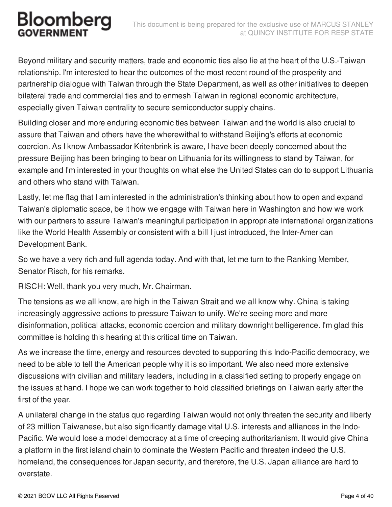Beyond military and security matters, trade and economic ties also lie at the heart of the U.S.-Taiwan relationship. I'm interested to hear the outcomes of the most recent round of the prosperity and partnership dialogue with Taiwan through the State Department, as well as other initiatives to deepen bilateral trade and commercial ties and to enmesh Taiwan in regional economic architecture, especially given Taiwan centrality to secure semiconductor supply chains.

Building closer and more enduring economic ties between Taiwan and the world is also crucial to assure that Taiwan and others have the wherewithal to withstand Beijing's efforts at economic coercion. As I know Ambassador Kritenbrink is aware, I have been deeply concerned about the pressure Beijing has been bringing to bear on Lithuania for its willingness to stand by Taiwan, for example and I'm interested in your thoughts on what else the United States can do to support Lithuania and others who stand with Taiwan.

Lastly, let me flag that I am interested in the administration's thinking about how to open and expand Taiwan's diplomatic space, be it how we engage with Taiwan here in Washington and how we work with our partners to assure Taiwan's meaningful participation in appropriate international organizations like the World Health Assembly or consistent with a bill I just introduced, the Inter-American Development Bank.

So we have a very rich and full agenda today. And with that, let me turn to the Ranking Member, Senator Risch, for his remarks.

RISCH: Well, thank you very much, Mr. Chairman.

The tensions as we all know, are high in the Taiwan Strait and we all know why. China is taking increasingly aggressive actions to pressure Taiwan to unify. We're seeing more and more disinformation, political attacks, economic coercion and military downright belligerence. I'm glad this committee is holding this hearing at this critical time on Taiwan.

As we increase the time, energy and resources devoted to supporting this Indo-Pacific democracy, we need to be able to tell the American people why it is so important. We also need more extensive discussions with civilian and military leaders, including in a classified setting to properly engage on the issues at hand. I hope we can work together to hold classified briefings on Taiwan early after the first of the year.

A unilateral change in the status quo regarding Taiwan would not only threaten the security and liberty of 23 million Taiwanese, but also significantly damage vital U.S. interests and alliances in the Indo-Pacific. We would lose a model democracy at a time of creeping authoritarianism. It would give China a platform in the first island chain to dominate the Western Pacific and threaten indeed the U.S. homeland, the consequences for Japan security, and therefore, the U.S. Japan alliance are hard to overstate.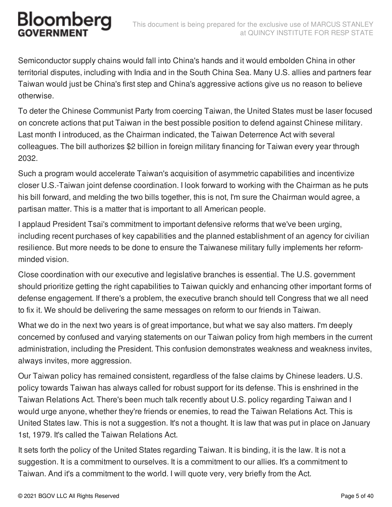Semiconductor supply chains would fall into China's hands and it would embolden China in other territorial disputes, including with India and in the South China Sea. Many U.S. allies and partners fear Taiwan would just be China's first step and China's aggressive actions give us no reason to believe otherwise.

To deter the Chinese Communist Party from coercing Taiwan, the United States must be laser focused on concrete actions that put Taiwan in the best possible position to defend against Chinese military. Last month I introduced, as the Chairman indicated, the Taiwan Deterrence Act with several colleagues. The bill authorizes \$2 billion in foreign military financing for Taiwan every year through 2032.

Such a program would accelerate Taiwan's acquisition of asymmetric capabilities and incentivize closer U.S.-Taiwan joint defense coordination. I look forward to working with the Chairman as he puts his bill forward, and melding the two bills together, this is not, I'm sure the Chairman would agree, a partisan matter. This is a matter that is important to all American people.

I applaud President Tsai's commitment to important defensive reforms that we've been urging, including recent purchases of key capabilities and the planned establishment of an agency for civilian resilience. But more needs to be done to ensure the Taiwanese military fully implements her reformminded vision.

Close coordination with our executive and legislative branches is essential. The U.S. government should prioritize getting the right capabilities to Taiwan quickly and enhancing other important forms of defense engagement. If there's a problem, the executive branch should tell Congress that we all need to fix it. We should be delivering the same messages on reform to our friends in Taiwan.

What we do in the next two years is of great importance, but what we say also matters. I'm deeply concerned by confused and varying statements on our Taiwan policy from high members in the current administration, including the President. This confusion demonstrates weakness and weakness invites, always invites, more aggression.

Our Taiwan policy has remained consistent, regardless of the false claims by Chinese leaders. U.S. policy towards Taiwan has always called for robust support for its defense. This is enshrined in the Taiwan Relations Act. There's been much talk recently about U.S. policy regarding Taiwan and I would urge anyone, whether they're friends or enemies, to read the Taiwan Relations Act. This is United States law. This is not a suggestion. It's not a thought. It is law that was put in place on January 1st, 1979. It's called the Taiwan Relations Act.

It sets forth the policy of the United States regarding Taiwan. It is binding, it is the law. It is not a suggestion. It is a commitment to ourselves. It is a commitment to our allies. It's a commitment to Taiwan. And it's a commitment to the world. I will quote very, very briefly from the Act.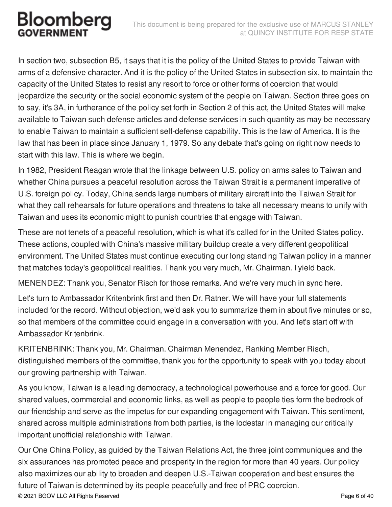In section two, subsection B5, it says that it is the policy of the United States to provide Taiwan with arms of a defensive character. And it is the policy of the United States in subsection six, to maintain the capacity of the United States to resist any resort to force or other forms of coercion that would jeopardize the security or the social economic system of the people on Taiwan. Section three goes on to say, it's 3A, in furtherance of the policy set forth in Section 2 of this act, the United States will make available to Taiwan such defense articles and defense services in such quantity as may be necessary to enable Taiwan to maintain a sufficient self-defense capability. This is the law of America. It is the law that has been in place since January 1, 1979. So any debate that's going on right now needs to start with this law. This is where we begin.

In 1982, President Reagan wrote that the linkage between U.S. policy on arms sales to Taiwan and whether China pursues a peaceful resolution across the Taiwan Strait is a permanent imperative of U.S. foreign policy. Today, China sends large numbers of military aircraft into the Taiwan Strait for what they call rehearsals for future operations and threatens to take all necessary means to unify with Taiwan and uses its economic might to punish countries that engage with Taiwan.

These are not tenets of a peaceful resolution, which is what it's called for in the United States policy. These actions, coupled with China's massive military buildup create a very different geopolitical environment. The United States must continue executing our long standing Taiwan policy in a manner that matches today's geopolitical realities. Thank you very much, Mr. Chairman. I yield back.

MENENDEZ: Thank you, Senator Risch for those remarks. And we're very much in sync here.

Let's turn to Ambassador Kritenbrink first and then Dr. Ratner. We will have your full statements included for the record. Without objection, we'd ask you to summarize them in about five minutes or so, so that members of the committee could engage in a conversation with you. And let's start off with Ambassador Kritenbrink.

KRITENBRINK: Thank you, Mr. Chairman. Chairman Menendez, Ranking Member Risch, distinguished members of the committee, thank you for the opportunity to speak with you today about our growing partnership with Taiwan.

As you know, Taiwan is a leading democracy, a technological powerhouse and a force for good. Our shared values, commercial and economic links, as well as people to people ties form the bedrock of our friendship and serve as the impetus for our expanding engagement with Taiwan. This sentiment, shared across multiple administrations from both parties, is the lodestar in managing our critically important unofficial relationship with Taiwan.

Our One China Policy, as guided by the Taiwan Relations Act, the three joint communiques and the six assurances has promoted peace and prosperity in the region for more than 40 years. Our policy also maximizes our ability to broaden and deepen U.S.-Taiwan cooperation and best ensures the future of Taiwan is determined by its people peacefully and free of PRC coercion. © 2021 BGOV LLC All Rights Reserved Page 6 of 40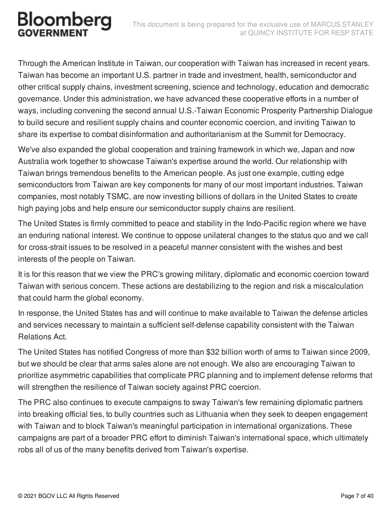#### This document is being prepared for the exclusive use of MARCUS STANLEY at QUINCY INSTITUTE FOR RESP STATE

#### Bloomberg

Through the American Institute in Taiwan, our cooperation with Taiwan has increased in recent years. Taiwan has become an important U.S. partner in trade and investment, health, semiconductor and other critical supply chains, investment screening, science and technology, education and democratic governance. Under this administration, we have advanced these cooperative efforts in a number of ways, including convening the second annual U.S.-Taiwan Economic Prosperity Partnership Dialogue to build secure and resilient supply chains and counter economic coercion, and inviting Taiwan to share its expertise to combat disinformation and authoritarianism at the Summit for Democracy.

We've also expanded the global cooperation and training framework in which we, Japan and now Australia work together to showcase Taiwan's expertise around the world. Our relationship with Taiwan brings tremendous benefits to the American people. As just one example, cutting edge semiconductors from Taiwan are key components for many of our most important industries. Taiwan companies, most notably TSMC, are now investing billions of dollars in the United States to create high paying jobs and help ensure our semiconductor supply chains are resilient.

The United States is firmly committed to peace and stability in the Indo-Pacific region where we have an enduring national interest. We continue to oppose unilateral changes to the status quo and we call for cross-strait issues to be resolved in a peaceful manner consistent with the wishes and best interests of the people on Taiwan.

It is for this reason that we view the PRC's growing military, diplomatic and economic coercion toward Taiwan with serious concern. These actions are destabilizing to the region and risk a miscalculation that could harm the global economy.

In response, the United States has and will continue to make available to Taiwan the defense articles and services necessary to maintain a sufficient self-defense capability consistent with the Taiwan Relations Act.

The United States has notified Congress of more than \$32 billion worth of arms to Taiwan since 2009, but we should be clear that arms sales alone are not enough. We also are encouraging Taiwan to prioritize asymmetric capabilities that complicate PRC planning and to implement defense reforms that will strengthen the resilience of Taiwan society against PRC coercion.

The PRC also continues to execute campaigns to sway Taiwan's few remaining diplomatic partners into breaking official ties, to bully countries such as Lithuania when they seek to deepen engagement with Taiwan and to block Taiwan's meaningful participation in international organizations. These campaigns are part of a broader PRC effort to diminish Taiwan's international space, which ultimately robs all of us of the many benefits derived from Taiwan's expertise.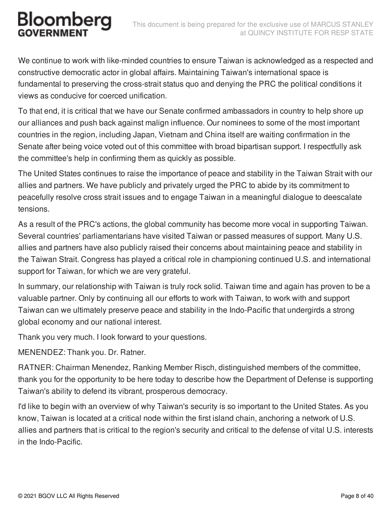We continue to work with like-minded countries to ensure Taiwan is acknowledged as a respected and constructive democratic actor in global affairs. Maintaining Taiwan's international space is fundamental to preserving the cross-strait status quo and denying the PRC the political conditions it views as conducive for coerced unification.

To that end, it is critical that we have our Senate confirmed ambassadors in country to help shore up our alliances and push back against malign influence. Our nominees to some of the most important countries in the region, including Japan, Vietnam and China itself are waiting confirmation in the Senate after being voice voted out of this committee with broad bipartisan support. I respectfully ask the committee's help in confirming them as quickly as possible.

The United States continues to raise the importance of peace and stability in the Taiwan Strait with our allies and partners. We have publicly and privately urged the PRC to abide by its commitment to peacefully resolve cross strait issues and to engage Taiwan in a meaningful dialogue to deescalate tensions.

As a result of the PRC's actions, the global community has become more vocal in supporting Taiwan. Several countries' parliamentarians have visited Taiwan or passed measures of support. Many U.S. allies and partners have also publicly raised their concerns about maintaining peace and stability in the Taiwan Strait. Congress has played a critical role in championing continued U.S. and international support for Taiwan, for which we are very grateful.

In summary, our relationship with Taiwan is truly rock solid. Taiwan time and again has proven to be a valuable partner. Only by continuing all our efforts to work with Taiwan, to work with and support Taiwan can we ultimately preserve peace and stability in the Indo-Pacific that undergirds a strong global economy and our national interest.

Thank you very much. I look forward to your questions.

MENENDEZ: Thank you. Dr. Ratner.

RATNER: Chairman Menendez, Ranking Member Risch, distinguished members of the committee, thank you for the opportunity to be here today to describe how the Department of Defense is supporting Taiwan's ability to defend its vibrant, prosperous democracy.

I'd like to begin with an overview of why Taiwan's security is so important to the United States. As you know, Taiwan is located at a critical node within the first island chain, anchoring a network of U.S. allies and partners that is critical to the region's security and critical to the defense of vital U.S. interests in the Indo-Pacific.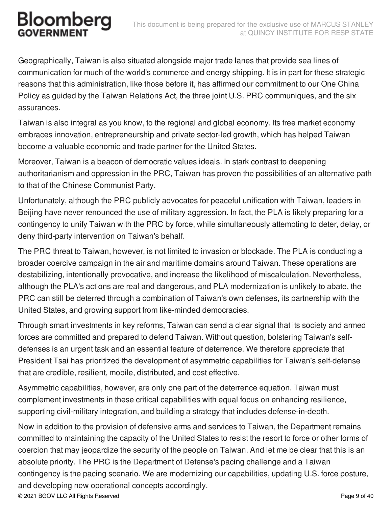Geographically, Taiwan is also situated alongside major trade lanes that provide sea lines of communication for much of the world's commerce and energy shipping. It is in part for these strategic reasons that this administration, like those before it, has affirmed our commitment to our One China Policy as guided by the Taiwan Relations Act, the three joint U.S. PRC communiques, and the six assurances.

Taiwan is also integral as you know, to the regional and global economy. Its free market economy embraces innovation, entrepreneurship and private sector-led growth, which has helped Taiwan become a valuable economic and trade partner for the United States.

Moreover, Taiwan is a beacon of democratic values ideals. In stark contrast to deepening authoritarianism and oppression in the PRC, Taiwan has proven the possibilities of an alternative path to that of the Chinese Communist Party.

Unfortunately, although the PRC publicly advocates for peaceful unification with Taiwan, leaders in Beijing have never renounced the use of military aggression. In fact, the PLA is likely preparing for a contingency to unify Taiwan with the PRC by force, while simultaneously attempting to deter, delay, or deny third-party intervention on Taiwan's behalf.

The PRC threat to Taiwan, however, is not limited to invasion or blockade. The PLA is conducting a broader coercive campaign in the air and maritime domains around Taiwan. These operations are destabilizing, intentionally provocative, and increase the likelihood of miscalculation. Nevertheless, although the PLA's actions are real and dangerous, and PLA modernization is unlikely to abate, the PRC can still be deterred through a combination of Taiwan's own defenses, its partnership with the United States, and growing support from like-minded democracies.

Through smart investments in key reforms, Taiwan can send a clear signal that its society and armed forces are committed and prepared to defend Taiwan. Without question, bolstering Taiwan's selfdefenses is an urgent task and an essential feature of deterrence. We therefore appreciate that President Tsai has prioritized the development of asymmetric capabilities for Taiwan's self-defense that are credible, resilient, mobile, distributed, and cost effective.

Asymmetric capabilities, however, are only one part of the deterrence equation. Taiwan must complement investments in these critical capabilities with equal focus on enhancing resilience, supporting civil-military integration, and building a strategy that includes defense-in-depth.

Now in addition to the provision of defensive arms and services to Taiwan, the Department remains committed to maintaining the capacity of the United States to resist the resort to force or other forms of coercion that may jeopardize the security of the people on Taiwan. And let me be clear that this is an absolute priority. The PRC is the Department of Defense's pacing challenge and a Taiwan contingency is the pacing scenario. We are modernizing our capabilities, updating U.S. force posture, and developing new operational concepts accordingly. © 2021 BGOV LLC All Rights Reserved Page 9 of 40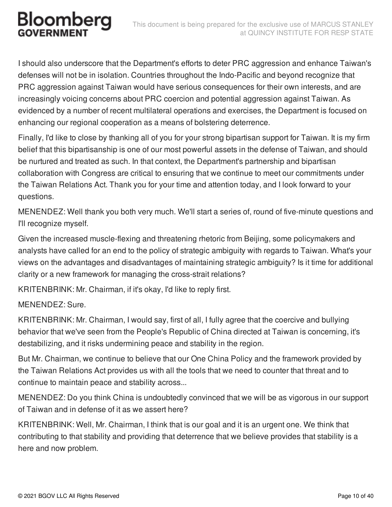I should also underscore that the Department's efforts to deter PRC aggression and enhance Taiwan's defenses will not be in isolation. Countries throughout the Indo-Pacific and beyond recognize that PRC aggression against Taiwan would have serious consequences for their own interests, and are increasingly voicing concerns about PRC coercion and potential aggression against Taiwan. As evidenced by a number of recent multilateral operations and exercises, the Department is focused on enhancing our regional cooperation as a means of bolstering deterrence.

Finally, I'd like to close by thanking all of you for your strong bipartisan support for Taiwan. It is my firm belief that this bipartisanship is one of our most powerful assets in the defense of Taiwan, and should be nurtured and treated as such. In that context, the Department's partnership and bipartisan collaboration with Congress are critical to ensuring that we continue to meet our commitments under the Taiwan Relations Act. Thank you for your time and attention today, and I look forward to your questions.

MENENDEZ: Well thank you both very much. We'll start a series of, round of five-minute questions and I'll recognize myself.

Given the increased muscle-flexing and threatening rhetoric from Beijing, some policymakers and analysts have called for an end to the policy of strategic ambiguity with regards to Taiwan. What's your views on the advantages and disadvantages of maintaining strategic ambiguity? Is it time for additional clarity or a new framework for managing the cross-strait relations?

KRITENBRINK: Mr. Chairman, if it's okay, I'd like to reply first.

#### MENENDEZ: Sure.

KRITENBRINK: Mr. Chairman, I would say, first of all, I fully agree that the coercive and bullying behavior that we've seen from the People's Republic of China directed at Taiwan is concerning, it's destabilizing, and it risks undermining peace and stability in the region.

But Mr. Chairman, we continue to believe that our One China Policy and the framework provided by the Taiwan Relations Act provides us with all the tools that we need to counter that threat and to continue to maintain peace and stability across...

MENENDEZ: Do you think China is undoubtedly convinced that we will be as vigorous in our support of Taiwan and in defense of it as we assert here?

KRITENBRINK: Well, Mr. Chairman, I think that is our goal and it is an urgent one. We think that contributing to that stability and providing that deterrence that we believe provides that stability is a here and now problem.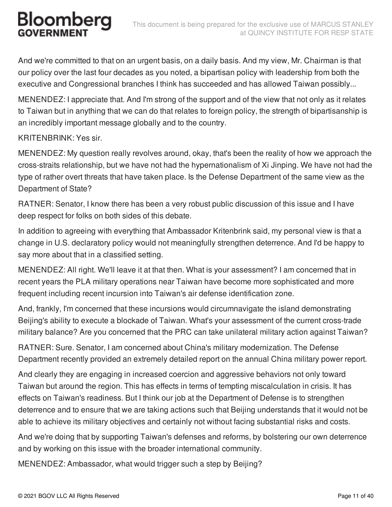And we're committed to that on an urgent basis, on a daily basis. And my view, Mr. Chairman is that our policy over the last four decades as you noted, a bipartisan policy with leadership from both the executive and Congressional branches I think has succeeded and has allowed Taiwan possibly...

MENENDEZ: I appreciate that. And I'm strong of the support and of the view that not only as it relates to Taiwan but in anything that we can do that relates to foreign policy, the strength of bipartisanship is an incredibly important message globally and to the country.

#### KRITENBRINK: Yes sir.

MENENDEZ: My question really revolves around, okay, that's been the reality of how we approach the cross-straits relationship, but we have not had the hypernationalism of Xi Jinping. We have not had the type of rather overt threats that have taken place. Is the Defense Department of the same view as the Department of State?

RATNER: Senator, I know there has been a very robust public discussion of this issue and I have deep respect for folks on both sides of this debate.

In addition to agreeing with everything that Ambassador Kritenbrink said, my personal view is that a change in U.S. declaratory policy would not meaningfully strengthen deterrence. And I'd be happy to say more about that in a classified setting.

MENENDEZ: All right. We'll leave it at that then. What is your assessment? I am concerned that in recent years the PLA military operations near Taiwan have become more sophisticated and more frequent including recent incursion into Taiwan's air defense identification zone.

And, frankly, I'm concerned that these incursions would circumnavigate the island demonstrating Beijing's ability to execute a blockade of Taiwan. What's your assessment of the current cross-trade military balance? Are you concerned that the PRC can take unilateral military action against Taiwan?

RATNER: Sure. Senator, I am concerned about China's military modernization. The Defense Department recently provided an extremely detailed report on the annual China military power report.

And clearly they are engaging in increased coercion and aggressive behaviors not only toward Taiwan but around the region. This has effects in terms of tempting miscalculation in crisis. It has effects on Taiwan's readiness. But I think our job at the Department of Defense is to strengthen deterrence and to ensure that we are taking actions such that Beijing understands that it would not be able to achieve its military objectives and certainly not without facing substantial risks and costs.

And we're doing that by supporting Taiwan's defenses and reforms, by bolstering our own deterrence and by working on this issue with the broader international community.

MENENDEZ: Ambassador, what would trigger such a step by Beijing?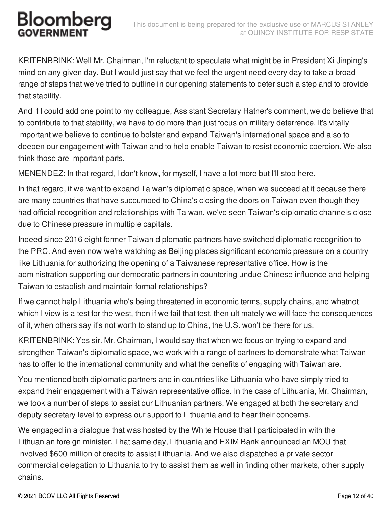KRITENBRINK: Well Mr. Chairman, I'm reluctant to speculate what might be in President Xi Jinping's mind on any given day. But I would just say that we feel the urgent need every day to take a broad range of steps that we've tried to outline in our opening statements to deter such a step and to provide that stability.

And if I could add one point to my colleague, Assistant Secretary Ratner's comment, we do believe that to contribute to that stability, we have to do more than just focus on military deterrence. It's vitally important we believe to continue to bolster and expand Taiwan's international space and also to deepen our engagement with Taiwan and to help enable Taiwan to resist economic coercion. We also think those are important parts.

MENENDEZ: In that regard, I don't know, for myself, I have a lot more but I'll stop here.

In that regard, if we want to expand Taiwan's diplomatic space, when we succeed at it because there are many countries that have succumbed to China's closing the doors on Taiwan even though they had official recognition and relationships with Taiwan, we've seen Taiwan's diplomatic channels close due to Chinese pressure in multiple capitals.

Indeed since 2016 eight former Taiwan diplomatic partners have switched diplomatic recognition to the PRC. And even now we're watching as Beijing places significant economic pressure on a country like Lithuania for authorizing the opening of a Taiwanese representative office. How is the administration supporting our democratic partners in countering undue Chinese influence and helping Taiwan to establish and maintain formal relationships?

If we cannot help Lithuania who's being threatened in economic terms, supply chains, and whatnot which I view is a test for the west, then if we fail that test, then ultimately we will face the consequences of it, when others say it's not worth to stand up to China, the U.S. won't be there for us.

KRITENBRINK: Yes sir. Mr. Chairman, I would say that when we focus on trying to expand and strengthen Taiwan's diplomatic space, we work with a range of partners to demonstrate what Taiwan has to offer to the international community and what the benefits of engaging with Taiwan are.

You mentioned both diplomatic partners and in countries like Lithuania who have simply tried to expand their engagement with a Taiwan representative office. In the case of Lithuania, Mr. Chairman, we took a number of steps to assist our Lithuanian partners. We engaged at both the secretary and deputy secretary level to express our support to Lithuania and to hear their concerns.

We engaged in a dialogue that was hosted by the White House that I participated in with the Lithuanian foreign minister. That same day, Lithuania and EXIM Bank announced an MOU that involved \$600 million of credits to assist Lithuania. And we also dispatched a private sector commercial delegation to Lithuania to try to assist them as well in finding other markets, other supply chains.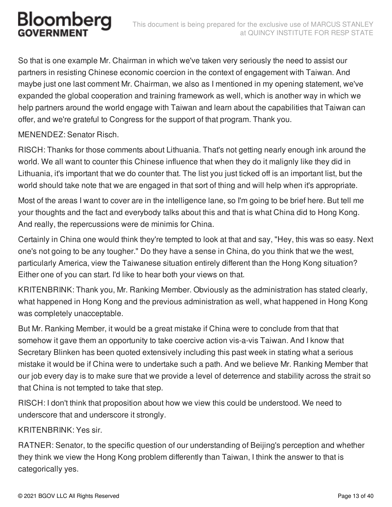So that is one example Mr. Chairman in which we've taken very seriously the need to assist our partners in resisting Chinese economic coercion in the context of engagement with Taiwan. And maybe just one last comment Mr. Chairman, we also as I mentioned in my opening statement, we've expanded the global cooperation and training framework as well, which is another way in which we help partners around the world engage with Taiwan and learn about the capabilities that Taiwan can offer, and we're grateful to Congress for the support of that program. Thank you.

MENENDEZ: Senator Risch.

RISCH: Thanks for those comments about Lithuania. That's not getting nearly enough ink around the world. We all want to counter this Chinese influence that when they do it malignly like they did in Lithuania, it's important that we do counter that. The list you just ticked off is an important list, but the world should take note that we are engaged in that sort of thing and will help when it's appropriate.

Most of the areas I want to cover are in the intelligence lane, so I'm going to be brief here. But tell me your thoughts and the fact and everybody talks about this and that is what China did to Hong Kong. And really, the repercussions were de minimis for China.

Certainly in China one would think they're tempted to look at that and say, "Hey, this was so easy. Next one's not going to be any tougher." Do they have a sense in China, do you think that we the west, particularly America, view the Taiwanese situation entirely different than the Hong Kong situation? Either one of you can start. I'd like to hear both your views on that.

KRITENBRINK: Thank you, Mr. Ranking Member. Obviously as the administration has stated clearly, what happened in Hong Kong and the previous administration as well, what happened in Hong Kong was completely unacceptable.

But Mr. Ranking Member, it would be a great mistake if China were to conclude from that that somehow it gave them an opportunity to take coercive action vis-a-vis Taiwan. And I know that Secretary Blinken has been quoted extensively including this past week in stating what a serious mistake it would be if China were to undertake such a path. And we believe Mr. Ranking Member that our job every day is to make sure that we provide a level of deterrence and stability across the strait so that China is not tempted to take that step.

RISCH: I don't think that proposition about how we view this could be understood. We need to underscore that and underscore it strongly.

#### KRITENBRINK: Yes sir.

RATNER: Senator, to the specific question of our understanding of Beijing's perception and whether they think we view the Hong Kong problem differently than Taiwan, I think the answer to that is categorically yes.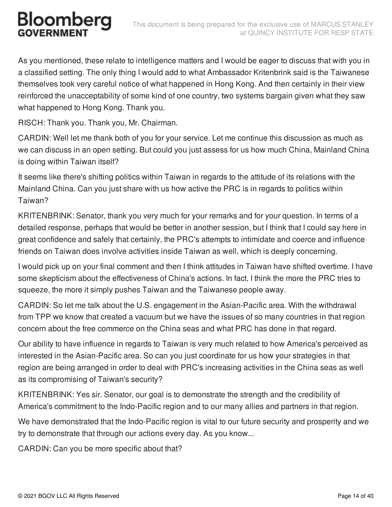As you mentioned, these relate to intelligence matters and I would be eager to discuss that with you in a classified setting. The only thing I would add to what Ambassador Kritenbrink said is the Taiwanese themselves took very careful notice of what happened in Hong Kong. And then certainly in their view reinforced the unacceptability of some kind of one country, two systems bargain given what they saw what happened to Hong Kong. Thank you.

RISCH: Thank you. Thank you, Mr. Chairman.

CARDIN: Well let me thank both of you for your service. Let me continue this discussion as much as we can discuss in an open setting. But could you just assess for us how much China, Mainland China is doing within Taiwan itself?

It seems like there's shifting politics within Taiwan in regards to the attitude of its relations with the Mainland China. Can you just share with us how active the PRC is in regards to politics within Taiwan?

KRITENBRINK: Senator, thank you very much for your remarks and for your question. In terms of a detailed response, perhaps that would be better in another session, but I think that I could say here in great confidence and safely that certainly, the PRC's attempts to intimidate and coerce and influence friends on Taiwan does involve activities inside Taiwan as well, which is deeply concerning.

I would pick up on your final comment and then I think attitudes in Taiwan have shifted overtime. I have some skepticism about the effectiveness of China's actions. In fact, I think the more the PRC tries to squeeze, the more it simply pushes Taiwan and the Taiwanese people away.

CARDIN: So let me talk about the U.S. engagement in the Asian-Pacific area. With the withdrawal from TPP we know that created a vacuum but we have the issues of so many countries in that region concern about the free commerce on the China seas and what PRC has done in that regard.

Our ability to have influence in regards to Taiwan is very much related to how America's perceived as interested in the Asian-Pacific area. So can you just coordinate for us how your strategies in that region are being arranged in order to deal with PRC's increasing activities in the China seas as well as its compromising of Taiwan's security?

KRITENBRINK: Yes sir. Senator, our goal is to demonstrate the strength and the credibility of America's commitment to the Indo-Pacific region and to our many allies and partners in that region.

We have demonstrated that the Indo-Pacific region is vital to our future security and prosperity and we try to demonstrate that through our actions every day. As you know...

CARDIN: Can you be more specific about that?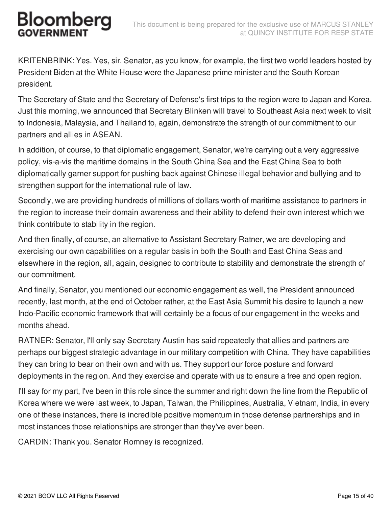# Bloombera

KRITENBRINK: Yes. Yes, sir. Senator, as you know, for example, the first two world leaders hosted by President Biden at the White House were the Japanese prime minister and the South Korean president.

The Secretary of State and the Secretary of Defense's first trips to the region were to Japan and Korea. Just this morning, we announced that Secretary Blinken will travel to Southeast Asia next week to visit to Indonesia, Malaysia, and Thailand to, again, demonstrate the strength of our commitment to our partners and allies in ASEAN.

In addition, of course, to that diplomatic engagement, Senator, we're carrying out a very aggressive policy, vis-a-vis the maritime domains in the South China Sea and the East China Sea to both diplomatically garner support for pushing back against Chinese illegal behavior and bullying and to strengthen support for the international rule of law.

Secondly, we are providing hundreds of millions of dollars worth of maritime assistance to partners in the region to increase their domain awareness and their ability to defend their own interest which we think contribute to stability in the region.

And then finally, of course, an alternative to Assistant Secretary Ratner, we are developing and exercising our own capabilities on a regular basis in both the South and East China Seas and elsewhere in the region, all, again, designed to contribute to stability and demonstrate the strength of our commitment.

And finally, Senator, you mentioned our economic engagement as well, the President announced recently, last month, at the end of October rather, at the East Asia Summit his desire to launch a new Indo-Pacific economic framework that will certainly be a focus of our engagement in the weeks and months ahead.

RATNER: Senator, I'll only say Secretary Austin has said repeatedly that allies and partners are perhaps our biggest strategic advantage in our military competition with China. They have capabilities they can bring to bear on their own and with us. They support our force posture and forward deployments in the region. And they exercise and operate with us to ensure a free and open region.

I'll say for my part, I've been in this role since the summer and right down the line from the Republic of Korea where we were last week, to Japan, Taiwan, the Philippines, Australia, Vietnam, India, in every one of these instances, there is incredible positive momentum in those defense partnerships and in most instances those relationships are stronger than they've ever been.

CARDIN: Thank you. Senator Romney is recognized.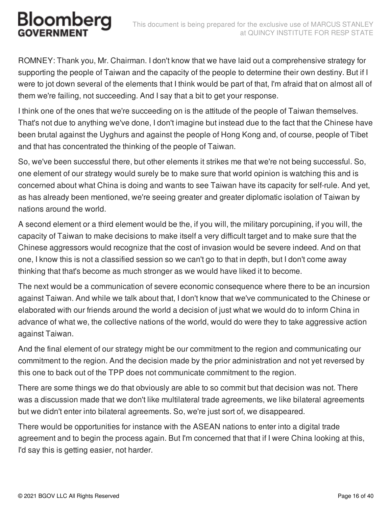ROMNEY: Thank you, Mr. Chairman. I don't know that we have laid out a comprehensive strategy for supporting the people of Taiwan and the capacity of the people to determine their own destiny. But if I were to jot down several of the elements that I think would be part of that, I'm afraid that on almost all of them we're failing, not succeeding. And I say that a bit to get your response.

I think one of the ones that we're succeeding on is the attitude of the people of Taiwan themselves. That's not due to anything we've done, I don't imagine but instead due to the fact that the Chinese have been brutal against the Uyghurs and against the people of Hong Kong and, of course, people of Tibet and that has concentrated the thinking of the people of Taiwan.

So, we've been successful there, but other elements it strikes me that we're not being successful. So, one element of our strategy would surely be to make sure that world opinion is watching this and is concerned about what China is doing and wants to see Taiwan have its capacity for self-rule. And yet, as has already been mentioned, we're seeing greater and greater diplomatic isolation of Taiwan by nations around the world.

A second element or a third element would be the, if you will, the military porcupining, if you will, the capacity of Taiwan to make decisions to make itself a very difficult target and to make sure that the Chinese aggressors would recognize that the cost of invasion would be severe indeed. And on that one, I know this is not a classified session so we can't go to that in depth, but I don't come away thinking that that's become as much stronger as we would have liked it to become.

The next would be a communication of severe economic consequence where there to be an incursion against Taiwan. And while we talk about that, I don't know that we've communicated to the Chinese or elaborated with our friends around the world a decision of just what we would do to inform China in advance of what we, the collective nations of the world, would do were they to take aggressive action against Taiwan.

And the final element of our strategy might be our commitment to the region and communicating our commitment to the region. And the decision made by the prior administration and not yet reversed by this one to back out of the TPP does not communicate commitment to the region.

There are some things we do that obviously are able to so commit but that decision was not. There was a discussion made that we don't like multilateral trade agreements, we like bilateral agreements but we didn't enter into bilateral agreements. So, we're just sort of, we disappeared.

There would be opportunities for instance with the ASEAN nations to enter into a digital trade agreement and to begin the process again. But I'm concerned that that if I were China looking at this, I'd say this is getting easier, not harder.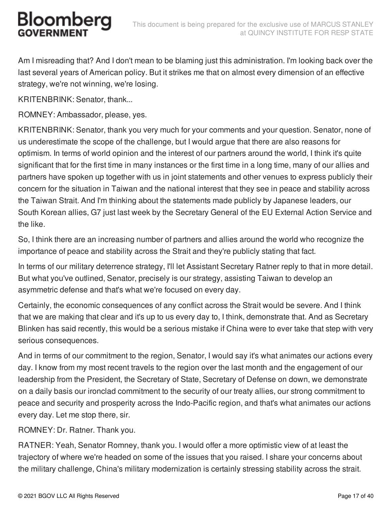Am I misreading that? And I don't mean to be blaming just this administration. I'm looking back over the last several years of American policy. But it strikes me that on almost every dimension of an effective strategy, we're not winning, we're losing.

KRITENBRINK: Senator, thank...

ROMNEY: Ambassador, please, yes.

KRITENBRINK: Senator, thank you very much for your comments and your question. Senator, none of us underestimate the scope of the challenge, but I would argue that there are also reasons for optimism. In terms of world opinion and the interest of our partners around the world, I think it's quite significant that for the first time in many instances or the first time in a long time, many of our allies and partners have spoken up together with us in joint statements and other venues to express publicly their concern for the situation in Taiwan and the national interest that they see in peace and stability across the Taiwan Strait. And I'm thinking about the statements made publicly by Japanese leaders, our South Korean allies, G7 just last week by the Secretary General of the EU External Action Service and the like.

So, I think there are an increasing number of partners and allies around the world who recognize the importance of peace and stability across the Strait and they're publicly stating that fact.

In terms of our military deterrence strategy, I'll let Assistant Secretary Ratner reply to that in more detail. But what you've outlined, Senator, precisely is our strategy, assisting Taiwan to develop an asymmetric defense and that's what we're focused on every day.

Certainly, the economic consequences of any conflict across the Strait would be severe. And I think that we are making that clear and it's up to us every day to, I think, demonstrate that. And as Secretary Blinken has said recently, this would be a serious mistake if China were to ever take that step with very serious consequences.

And in terms of our commitment to the region, Senator, I would say it's what animates our actions every day. I know from my most recent travels to the region over the last month and the engagement of our leadership from the President, the Secretary of State, Secretary of Defense on down, we demonstrate on a daily basis our ironclad commitment to the security of our treaty allies, our strong commitment to peace and security and prosperity across the Indo-Pacific region, and that's what animates our actions every day. Let me stop there, sir.

ROMNEY: Dr. Ratner. Thank you.

RATNER: Yeah, Senator Romney, thank you. I would offer a more optimistic view of at least the trajectory of where we're headed on some of the issues that you raised. I share your concerns about the military challenge, China's military modernization is certainly stressing stability across the strait.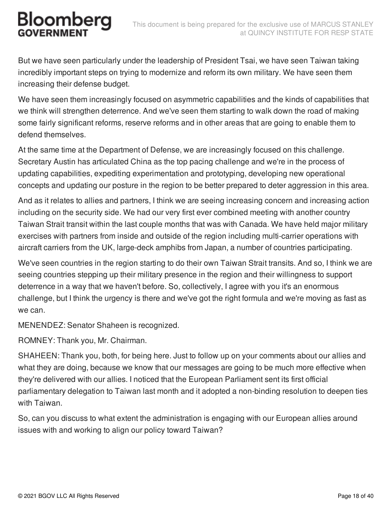But we have seen particularly under the leadership of President Tsai, we have seen Taiwan taking incredibly important steps on trying to modernize and reform its own military. We have seen them increasing their defense budget.

We have seen them increasingly focused on asymmetric capabilities and the kinds of capabilities that we think will strengthen deterrence. And we've seen them starting to walk down the road of making some fairly significant reforms, reserve reforms and in other areas that are going to enable them to defend themselves.

At the same time at the Department of Defense, we are increasingly focused on this challenge. Secretary Austin has articulated China as the top pacing challenge and we're in the process of updating capabilities, expediting experimentation and prototyping, developing new operational concepts and updating our posture in the region to be better prepared to deter aggression in this area.

And as it relates to allies and partners, I think we are seeing increasing concern and increasing action including on the security side. We had our very first ever combined meeting with another country Taiwan Strait transit within the last couple months that was with Canada. We have held major military exercises with partners from inside and outside of the region including multi-carrier operations with aircraft carriers from the UK, large-deck amphibs from Japan, a number of countries participating.

We've seen countries in the region starting to do their own Taiwan Strait transits. And so, I think we are seeing countries stepping up their military presence in the region and their willingness to support deterrence in a way that we haven't before. So, collectively, I agree with you it's an enormous challenge, but I think the urgency is there and we've got the right formula and we're moving as fast as we can.

MENENDEZ: Senator Shaheen is recognized.

ROMNEY: Thank you, Mr. Chairman.

SHAHEEN: Thank you, both, for being here. Just to follow up on your comments about our allies and what they are doing, because we know that our messages are going to be much more effective when they're delivered with our allies. I noticed that the European Parliament sent its first official parliamentary delegation to Taiwan last month and it adopted a non-binding resolution to deepen ties with Taiwan.

So, can you discuss to what extent the administration is engaging with our European allies around issues with and working to align our policy toward Taiwan?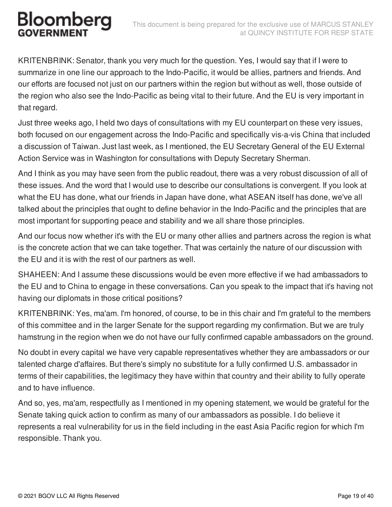KRITENBRINK: Senator, thank you very much for the question. Yes, I would say that if I were to summarize in one line our approach to the Indo-Pacific, it would be allies, partners and friends. And our efforts are focused not just on our partners within the region but without as well, those outside of the region who also see the Indo-Pacific as being vital to their future. And the EU is very important in that regard.

Just three weeks ago, I held two days of consultations with my EU counterpart on these very issues, both focused on our engagement across the Indo-Pacific and specifically vis-a-vis China that included a discussion of Taiwan. Just last week, as I mentioned, the EU Secretary General of the EU External Action Service was in Washington for consultations with Deputy Secretary Sherman.

And I think as you may have seen from the public readout, there was a very robust discussion of all of these issues. And the word that I would use to describe our consultations is convergent. If you look at what the EU has done, what our friends in Japan have done, what ASEAN itself has done, we've all talked about the principles that ought to define behavior in the Indo-Pacific and the principles that are most important for supporting peace and stability and we all share those principles.

And our focus now whether it's with the EU or many other allies and partners across the region is what is the concrete action that we can take together. That was certainly the nature of our discussion with the EU and it is with the rest of our partners as well.

SHAHEEN: And I assume these discussions would be even more effective if we had ambassadors to the EU and to China to engage in these conversations. Can you speak to the impact that it's having not having our diplomats in those critical positions?

KRITENBRINK: Yes, ma'am. I'm honored, of course, to be in this chair and I'm grateful to the members of this committee and in the larger Senate for the support regarding my confirmation. But we are truly hamstrung in the region when we do not have our fully confirmed capable ambassadors on the ground.

No doubt in every capital we have very capable representatives whether they are ambassadors or our talented charge d'affaires. But there's simply no substitute for a fully confirmed U.S. ambassador in terms of their capabilities, the legitimacy they have within that country and their ability to fully operate and to have influence.

And so, yes, ma'am, respectfully as I mentioned in my opening statement, we would be grateful for the Senate taking quick action to confirm as many of our ambassadors as possible. I do believe it represents a real vulnerability for us in the field including in the east Asia Pacific region for which I'm responsible. Thank you.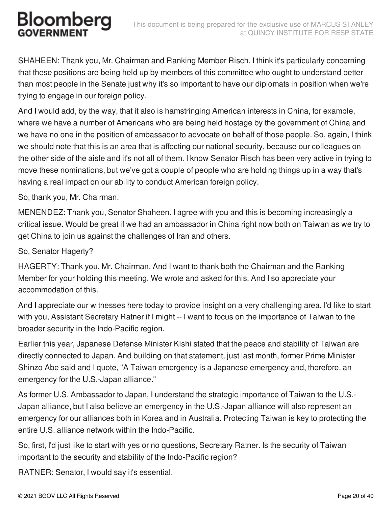SHAHEEN: Thank you, Mr. Chairman and Ranking Member Risch. I think it's particularly concerning that these positions are being held up by members of this committee who ought to understand better than most people in the Senate just why it's so important to have our diplomats in position when we're trying to engage in our foreign policy.

And I would add, by the way, that it also is hamstringing American interests in China, for example, where we have a number of Americans who are being held hostage by the government of China and we have no one in the position of ambassador to advocate on behalf of those people. So, again, I think we should note that this is an area that is affecting our national security, because our colleagues on the other side of the aisle and it's not all of them. I know Senator Risch has been very active in trying to move these nominations, but we've got a couple of people who are holding things up in a way that's having a real impact on our ability to conduct American foreign policy.

So, thank you, Mr. Chairman.

MENENDEZ: Thank you, Senator Shaheen. I agree with you and this is becoming increasingly a critical issue. Would be great if we had an ambassador in China right now both on Taiwan as we try to get China to join us against the challenges of Iran and others.

So, Senator Hagerty?

HAGERTY: Thank you, Mr. Chairman. And I want to thank both the Chairman and the Ranking Member for your holding this meeting. We wrote and asked for this. And I so appreciate your accommodation of this.

And I appreciate our witnesses here today to provide insight on a very challenging area. I'd like to start with you, Assistant Secretary Ratner if I might -- I want to focus on the importance of Taiwan to the broader security in the Indo-Pacific region.

Earlier this year, Japanese Defense Minister Kishi stated that the peace and stability of Taiwan are directly connected to Japan. And building on that statement, just last month, former Prime Minister Shinzo Abe said and I quote, "A Taiwan emergency is a Japanese emergency and, therefore, an emergency for the U.S.-Japan alliance."

As former U.S. Ambassador to Japan, I understand the strategic importance of Taiwan to the U.S.- Japan alliance, but I also believe an emergency in the U.S.-Japan alliance will also represent an emergency for our alliances both in Korea and in Australia. Protecting Taiwan is key to protecting the entire U.S. alliance network within the Indo-Pacific.

So, first, I'd just like to start with yes or no questions, Secretary Ratner. Is the security of Taiwan important to the security and stability of the Indo-Pacific region?

RATNER: Senator, I would say it's essential.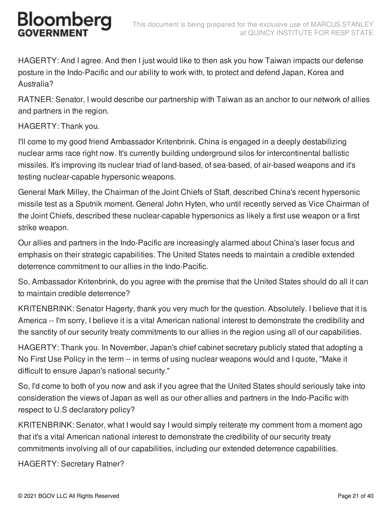HAGERTY: And I agree. And then I just would like to then ask you how Taiwan impacts our defense posture in the Indo-Pacific and our ability to work with, to protect and defend Japan, Korea and Australia?

RATNER: Senator, I would describe our partnership with Taiwan as an anchor to our network of allies and partners in the region.

#### HAGERTY: Thank you.

I'll come to my good friend Ambassador Kritenbrink. China is engaged in a deeply destabilizing nuclear arms race right now. It's currently building underground silos for intercontinental ballistic missiles. It's improving its nuclear triad of land-based, of sea-based, of air-based weapons and it's testing nuclear-capable hypersonic weapons.

General Mark Milley, the Chairman of the Joint Chiefs of Staff, described China's recent hypersonic missile test as a Sputnik moment. General John Hyten, who until recently served as Vice Chairman of the Joint Chiefs, described these nuclear-capable hypersonics as likely a first use weapon or a first strike weapon.

Our allies and partners in the Indo-Pacific are increasingly alarmed about China's laser focus and emphasis on their strategic capabilities. The United States needs to maintain a credible extended deterrence commitment to our allies in the Indo-Pacific.

So, Ambassador Kritenbrink, do you agree with the premise that the United States should do all it can to maintain credible deterrence?

KRITENBRINK: Senator Hagerty, thank you very much for the question. Absolutely. I believe that it is America -- I'm sorry, I believe it is a vital American national interest to demonstrate the credibility and the sanctity of our security treaty commitments to our allies in the region using all of our capabilities.

HAGERTY: Thank you. In November, Japan's chief cabinet secretary publicly stated that adopting a No First Use Policy in the term -- in terms of using nuclear weapons would and I quote, "Make it difficult to ensure Japan's national security."

So, I'd come to both of you now and ask if you agree that the United States should seriously take into consideration the views of Japan as well as our other allies and partners in the Indo-Pacific with respect to U.S declaratory policy?

KRITENBRINK: Senator, what I would say I would simply reiterate my comment from a moment ago that it's a vital American national interest to demonstrate the credibility of our security treaty commitments involving all of our capabilities, including our extended deterrence capabilities.

HAGERTY: Secretary Ratner?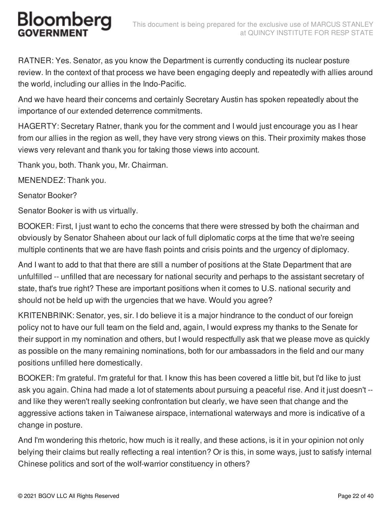RATNER: Yes. Senator, as you know the Department is currently conducting its nuclear posture review. In the context of that process we have been engaging deeply and repeatedly with allies around the world, including our allies in the Indo-Pacific.

And we have heard their concerns and certainly Secretary Austin has spoken repeatedly about the importance of our extended deterrence commitments.

HAGERTY: Secretary Ratner, thank you for the comment and I would just encourage you as I hear from our allies in the region as well, they have very strong views on this. Their proximity makes those views very relevant and thank you for taking those views into account.

Thank you, both. Thank you, Mr. Chairman.

MENENDEZ: Thank you.

Senator Booker?

Senator Booker is with us virtually.

BOOKER: First, I just want to echo the concerns that there were stressed by both the chairman and obviously by Senator Shaheen about our lack of full diplomatic corps at the time that we're seeing multiple continents that we are have flash points and crisis points and the urgency of diplomacy.

And I want to add to that that there are still a number of positions at the State Department that are unfulfilled -- unfilled that are necessary for national security and perhaps to the assistant secretary of state, that's true right? These are important positions when it comes to U.S. national security and should not be held up with the urgencies that we have. Would you agree?

KRITENBRINK: Senator, yes, sir. I do believe it is a major hindrance to the conduct of our foreign policy not to have our full team on the field and, again, I would express my thanks to the Senate for their support in my nomination and others, but I would respectfully ask that we please move as quickly as possible on the many remaining nominations, both for our ambassadors in the field and our many positions unfilled here domestically.

BOOKER: I'm grateful. I'm grateful for that. I know this has been covered a little bit, but I'd like to just ask you again. China had made a lot of statements about pursuing a peaceful rise. And it just doesn't - and like they weren't really seeking confrontation but clearly, we have seen that change and the aggressive actions taken in Taiwanese airspace, international waterways and more is indicative of a change in posture.

And I'm wondering this rhetoric, how much is it really, and these actions, is it in your opinion not only belying their claims but really reflecting a real intention? Or is this, in some ways, just to satisfy internal Chinese politics and sort of the wolf-warrior constituency in others?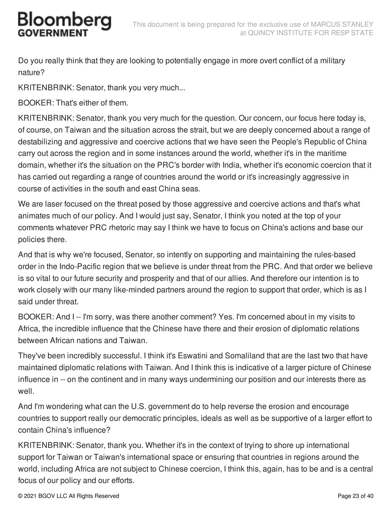Do you really think that they are looking to potentially engage in more overt conflict of a military nature?

KRITENBRINK: Senator, thank you very much...

BOOKER: That's either of them.

KRITENBRINK: Senator, thank you very much for the question. Our concern, our focus here today is, of course, on Taiwan and the situation across the strait, but we are deeply concerned about a range of destabilizing and aggressive and coercive actions that we have seen the People's Republic of China carry out across the region and in some instances around the world, whether it's in the maritime domain, whether it's the situation on the PRC's border with India, whether it's economic coercion that it has carried out regarding a range of countries around the world or it's increasingly aggressive in course of activities in the south and east China seas.

We are laser focused on the threat posed by those aggressive and coercive actions and that's what animates much of our policy. And I would just say, Senator, I think you noted at the top of your comments whatever PRC rhetoric may say I think we have to focus on China's actions and base our policies there.

And that is why we're focused, Senator, so intently on supporting and maintaining the rules-based order in the Indo-Pacific region that we believe is under threat from the PRC. And that order we believe is so vital to our future security and prosperity and that of our allies. And therefore our intention is to work closely with our many like-minded partners around the region to support that order, which is as I said under threat.

BOOKER: And I -- I'm sorry, was there another comment? Yes. I'm concerned about in my visits to Africa, the incredible influence that the Chinese have there and their erosion of diplomatic relations between African nations and Taiwan.

They've been incredibly successful. I think it's Eswatini and Somaliland that are the last two that have maintained diplomatic relations with Taiwan. And I think this is indicative of a larger picture of Chinese influence in -- on the continent and in many ways undermining our position and our interests there as well.

And I'm wondering what can the U.S. government do to help reverse the erosion and encourage countries to support really our democratic principles, ideals as well as be supportive of a larger effort to contain China's influence?

KRITENBRINK: Senator, thank you. Whether it's in the context of trying to shore up international support for Taiwan or Taiwan's international space or ensuring that countries in regions around the world, including Africa are not subject to Chinese coercion, I think this, again, has to be and is a central focus of our policy and our efforts.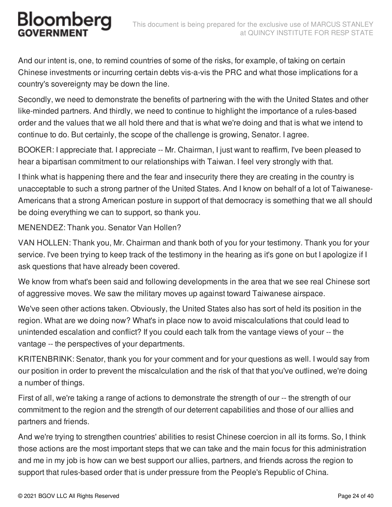And our intent is, one, to remind countries of some of the risks, for example, of taking on certain Chinese investments or incurring certain debts vis-a-vis the PRC and what those implications for a country's sovereignty may be down the line.

Secondly, we need to demonstrate the benefits of partnering with the with the United States and other like-minded partners. And thirdly, we need to continue to highlight the importance of a rules-based order and the values that we all hold there and that is what we're doing and that is what we intend to continue to do. But certainly, the scope of the challenge is growing, Senator. I agree.

BOOKER: I appreciate that. I appreciate -- Mr. Chairman, I just want to reaffirm, I've been pleased to hear a bipartisan commitment to our relationships with Taiwan. I feel very strongly with that.

I think what is happening there and the fear and insecurity there they are creating in the country is unacceptable to such a strong partner of the United States. And I know on behalf of a lot of Taiwanese-Americans that a strong American posture in support of that democracy is something that we all should be doing everything we can to support, so thank you.

MENENDEZ: Thank you. Senator Van Hollen?

VAN HOLLEN: Thank you, Mr. Chairman and thank both of you for your testimony. Thank you for your service. I've been trying to keep track of the testimony in the hearing as it's gone on but I apologize if I ask questions that have already been covered.

We know from what's been said and following developments in the area that we see real Chinese sort of aggressive moves. We saw the military moves up against toward Taiwanese airspace.

We've seen other actions taken. Obviously, the United States also has sort of held its position in the region. What are we doing now? What's in place now to avoid miscalculations that could lead to unintended escalation and conflict? If you could each talk from the vantage views of your -- the vantage -- the perspectives of your departments.

KRITENBRINK: Senator, thank you for your comment and for your questions as well. I would say from our position in order to prevent the miscalculation and the risk of that that you've outlined, we're doing a number of things.

First of all, we're taking a range of actions to demonstrate the strength of our -- the strength of our commitment to the region and the strength of our deterrent capabilities and those of our allies and partners and friends.

And we're trying to strengthen countries' abilities to resist Chinese coercion in all its forms. So, I think those actions are the most important steps that we can take and the main focus for this administration and me in my job is how can we best support our allies, partners, and friends across the region to support that rules-based order that is under pressure from the People's Republic of China.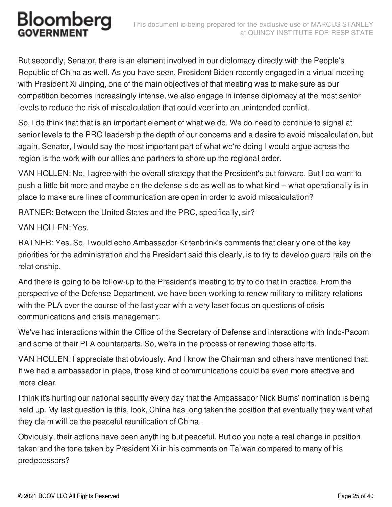But secondly, Senator, there is an element involved in our diplomacy directly with the People's Republic of China as well. As you have seen, President Biden recently engaged in a virtual meeting with President Xi Jinping, one of the main objectives of that meeting was to make sure as our competition becomes increasingly intense, we also engage in intense diplomacy at the most senior levels to reduce the risk of miscalculation that could veer into an unintended conflict.

So, I do think that that is an important element of what we do. We do need to continue to signal at senior levels to the PRC leadership the depth of our concerns and a desire to avoid miscalculation, but again, Senator, I would say the most important part of what we're doing I would argue across the region is the work with our allies and partners to shore up the regional order.

VAN HOLLEN: No, I agree with the overall strategy that the President's put forward. But I do want to push a little bit more and maybe on the defense side as well as to what kind -- what operationally is in place to make sure lines of communication are open in order to avoid miscalculation?

RATNER: Between the United States and the PRC, specifically, sir?

VAN HOLLEN: Yes.

RATNER: Yes. So, I would echo Ambassador Kritenbrink's comments that clearly one of the key priorities for the administration and the President said this clearly, is to try to develop guard rails on the relationship.

And there is going to be follow-up to the President's meeting to try to do that in practice. From the perspective of the Defense Department, we have been working to renew military to military relations with the PLA over the course of the last year with a very laser focus on questions of crisis communications and crisis management.

We've had interactions within the Office of the Secretary of Defense and interactions with Indo-Pacom and some of their PLA counterparts. So, we're in the process of renewing those efforts.

VAN HOLLEN: I appreciate that obviously. And I know the Chairman and others have mentioned that. If we had a ambassador in place, those kind of communications could be even more effective and more clear.

I think it's hurting our national security every day that the Ambassador Nick Burns' nomination is being held up. My last question is this, look, China has long taken the position that eventually they want what they claim will be the peaceful reunification of China.

Obviously, their actions have been anything but peaceful. But do you note a real change in position taken and the tone taken by President Xi in his comments on Taiwan compared to many of his predecessors?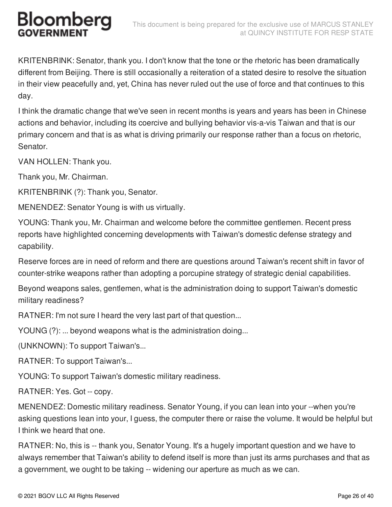KRITENBRINK: Senator, thank you. I don't know that the tone or the rhetoric has been dramatically different from Beijing. There is still occasionally a reiteration of a stated desire to resolve the situation in their view peacefully and, yet, China has never ruled out the use of force and that continues to this day.

I think the dramatic change that we've seen in recent months is years and years has been in Chinese actions and behavior, including its coercive and bullying behavior vis-a-vis Taiwan and that is our primary concern and that is as what is driving primarily our response rather than a focus on rhetoric, Senator.

VAN HOLLEN: Thank you.

Thank you, Mr. Chairman.

KRITENBRINK (?): Thank you, Senator.

MENENDEZ: Senator Young is with us virtually.

YOUNG: Thank you, Mr. Chairman and welcome before the committee gentlemen. Recent press reports have highlighted concerning developments with Taiwan's domestic defense strategy and capability.

Reserve forces are in need of reform and there are questions around Taiwan's recent shift in favor of counter-strike weapons rather than adopting a porcupine strategy of strategic denial capabilities.

Beyond weapons sales, gentlemen, what is the administration doing to support Taiwan's domestic military readiness?

RATNER: I'm not sure I heard the very last part of that question...

YOUNG (?): ... beyond weapons what is the administration doing...

(UNKNOWN): To support Taiwan's...

RATNER: To support Taiwan's...

YOUNG: To support Taiwan's domestic military readiness.

RATNER: Yes. Got -- copy.

MENENDEZ: Domestic military readiness. Senator Young, if you can lean into your --when you're asking questions lean into your, I guess, the computer there or raise the volume. It would be helpful but I think we heard that one.

RATNER: No, this is -- thank you, Senator Young. It's a hugely important question and we have to always remember that Taiwan's ability to defend itself is more than just its arms purchases and that as a government, we ought to be taking -- widening our aperture as much as we can.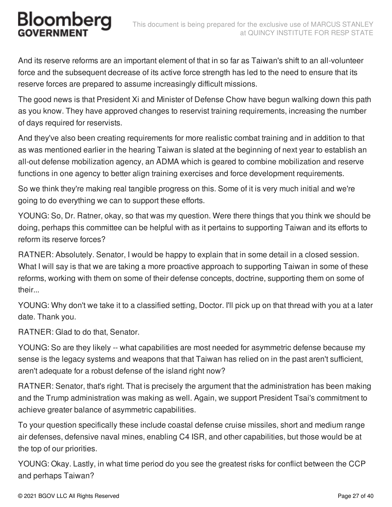And its reserve reforms are an important element of that in so far as Taiwan's shift to an all-volunteer force and the subsequent decrease of its active force strength has led to the need to ensure that its reserve forces are prepared to assume increasingly difficult missions.

The good news is that President Xi and Minister of Defense Chow have begun walking down this path as you know. They have approved changes to reservist training requirements, increasing the number of days required for reservists.

And they've also been creating requirements for more realistic combat training and in addition to that as was mentioned earlier in the hearing Taiwan is slated at the beginning of next year to establish an all-out defense mobilization agency, an ADMA which is geared to combine mobilization and reserve functions in one agency to better align training exercises and force development requirements.

So we think they're making real tangible progress on this. Some of it is very much initial and we're going to do everything we can to support these efforts.

YOUNG: So, Dr. Ratner, okay, so that was my question. Were there things that you think we should be doing, perhaps this committee can be helpful with as it pertains to supporting Taiwan and its efforts to reform its reserve forces?

RATNER: Absolutely. Senator, I would be happy to explain that in some detail in a closed session. What I will say is that we are taking a more proactive approach to supporting Taiwan in some of these reforms, working with them on some of their defense concepts, doctrine, supporting them on some of their...

YOUNG: Why don't we take it to a classified setting, Doctor. I'll pick up on that thread with you at a later date. Thank you.

RATNER: Glad to do that, Senator.

YOUNG: So are they likely -- what capabilities are most needed for asymmetric defense because my sense is the legacy systems and weapons that that Taiwan has relied on in the past aren't sufficient, aren't adequate for a robust defense of the island right now?

RATNER: Senator, that's right. That is precisely the argument that the administration has been making and the Trump administration was making as well. Again, we support President Tsai's commitment to achieve greater balance of asymmetric capabilities.

To your question specifically these include coastal defense cruise missiles, short and medium range air defenses, defensive naval mines, enabling C4 ISR, and other capabilities, but those would be at the top of our priorities.

YOUNG: Okay. Lastly, in what time period do you see the greatest risks for conflict between the CCP and perhaps Taiwan?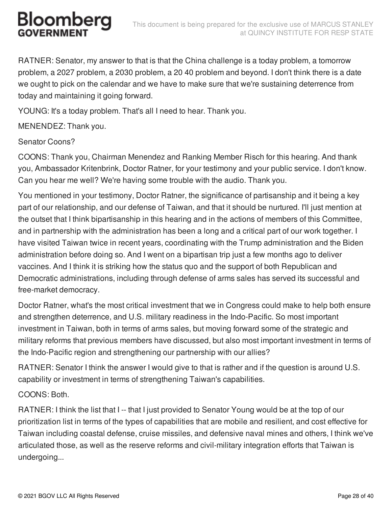RATNER: Senator, my answer to that is that the China challenge is a today problem, a tomorrow problem, a 2027 problem, a 2030 problem, a 20 40 problem and beyond. I don't think there is a date we ought to pick on the calendar and we have to make sure that we're sustaining deterrence from today and maintaining it going forward.

YOUNG: It's a today problem. That's all I need to hear. Thank you.

MENENDEZ: Thank you.

Senator Coons?

COONS: Thank you, Chairman Menendez and Ranking Member Risch for this hearing. And thank you, Ambassador Kritenbrink, Doctor Ratner, for your testimony and your public service. I don't know. Can you hear me well? We're having some trouble with the audio. Thank you.

You mentioned in your testimony, Doctor Ratner, the significance of partisanship and it being a key part of our relationship, and our defense of Taiwan, and that it should be nurtured. I'll just mention at the outset that I think bipartisanship in this hearing and in the actions of members of this Committee, and in partnership with the administration has been a long and a critical part of our work together. I have visited Taiwan twice in recent years, coordinating with the Trump administration and the Biden administration before doing so. And I went on a bipartisan trip just a few months ago to deliver vaccines. And I think it is striking how the status quo and the support of both Republican and Democratic administrations, including through defense of arms sales has served its successful and free-market democracy.

Doctor Ratner, what's the most critical investment that we in Congress could make to help both ensure and strengthen deterrence, and U.S. military readiness in the Indo-Pacific. So most important investment in Taiwan, both in terms of arms sales, but moving forward some of the strategic and military reforms that previous members have discussed, but also most important investment in terms of the Indo-Pacific region and strengthening our partnership with our allies?

RATNER: Senator I think the answer I would give to that is rather and if the question is around U.S. capability or investment in terms of strengthening Taiwan's capabilities.

COONS: Both.

RATNER: I think the list that I -- that I just provided to Senator Young would be at the top of our prioritization list in terms of the types of capabilities that are mobile and resilient, and cost effective for Taiwan including coastal defense, cruise missiles, and defensive naval mines and others, I think we've articulated those, as well as the reserve reforms and civil-military integration efforts that Taiwan is undergoing...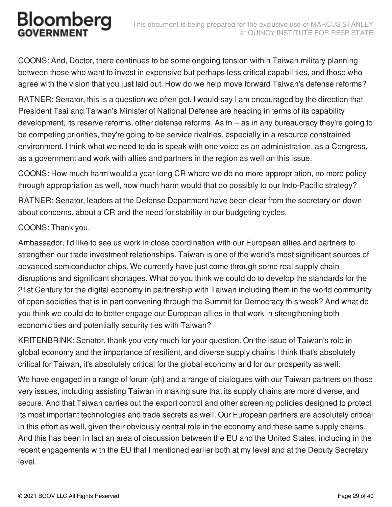COONS: And, Doctor, there continues to be some ongoing tension within Taiwan military planning between those who want to invest in expensive but perhaps less critical capabilities, and those who agree with the vision that you just laid out. How do we help move forward Taiwan's defense reforms?

RATNER: Senator, this is a question we often get. I would say I am encouraged by the direction that President Tsai and Taiwan's Minister of National Defense are heading in terms of its capability development, its reserve reforms, other defense reforms. As in -- as in any bureaucracy they're going to be competing priorities, they're going to be service rivalries, especially in a resource constrained environment. I think what we need to do is speak with one voice as an administration, as a Congress, as a government and work with allies and partners in the region as well on this issue.

COONS: How much harm would a year-long CR where we do no more appropriation, no more policy through appropriation as well, how much harm would that do possibly to our Indo-Pacific strategy?

RATNER: Senator, leaders at the Defense Department have been clear from the secretary on down about concerns, about a CR and the need for stability in our budgeting cycles.

#### COONS: Thank you.

Ambassador, I'd like to see us work in close coordination with our European allies and partners to strengthen our trade investment relationships. Taiwan is one of the world's most significant sources of advanced semiconductor chips. We currently have just come through some real supply chain disruptions and significant shortages. What do you think we could do to develop the standards for the 21st Century for the digital economy in partnership with Taiwan including them in the world community of open societies that is in part convening through the Summit for Democracy this week? And what do you think we could do to better engage our European allies in that work in strengthening both economic ties and potentially security ties with Taiwan?

KRITENBRINK: Senator, thank you very much for your question. On the issue of Taiwan's role in global economy and the importance of resilient, and diverse supply chains I think that's absolutely critical for Taiwan, it's absolutely critical for the global economy and for our prosperity as well.

We have engaged in a range of forum (ph) and a range of dialogues with our Taiwan partners on those very issues, including assisting Taiwan in making sure that its supply chains are more diverse, and secure. And that Taiwan carries out the export control and other screening policies designed to protect its most important technologies and trade secrets as well. Our European partners are absolutely critical in this effort as well, given their obviously central role in the economy and these same supply chains. And this has been in fact an area of discussion between the EU and the United States, including in the recent engagements with the EU that I mentioned earlier both at my level and at the Deputy Secretary level.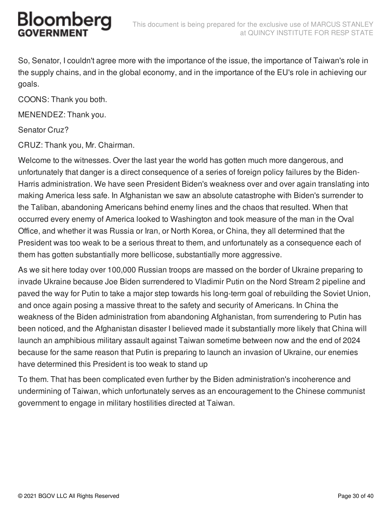So, Senator, I couldn't agree more with the importance of the issue, the importance of Taiwan's role in the supply chains, and in the global economy, and in the importance of the EU's role in achieving our goals.

COONS: Thank you both.

MENENDEZ: Thank you.

Senator Cruz?

CRUZ: Thank you, Mr. Chairman.

Welcome to the witnesses. Over the last year the world has gotten much more dangerous, and unfortunately that danger is a direct consequence of a series of foreign policy failures by the Biden-Harris administration. We have seen President Biden's weakness over and over again translating into making America less safe. In Afghanistan we saw an absolute catastrophe with Biden's surrender to the Taliban, abandoning Americans behind enemy lines and the chaos that resulted. When that occurred every enemy of America looked to Washington and took measure of the man in the Oval Office, and whether it was Russia or Iran, or North Korea, or China, they all determined that the President was too weak to be a serious threat to them, and unfortunately as a consequence each of them has gotten substantially more bellicose, substantially more aggressive.

As we sit here today over 100,000 Russian troops are massed on the border of Ukraine preparing to invade Ukraine because Joe Biden surrendered to Vladimir Putin on the Nord Stream 2 pipeline and paved the way for Putin to take a major step towards his long-term goal of rebuilding the Soviet Union, and once again posing a massive threat to the safety and security of Americans. In China the weakness of the Biden administration from abandoning Afghanistan, from surrendering to Putin has been noticed, and the Afghanistan disaster I believed made it substantially more likely that China will launch an amphibious military assault against Taiwan sometime between now and the end of 2024 because for the same reason that Putin is preparing to launch an invasion of Ukraine, our enemies have determined this President is too weak to stand up

To them. That has been complicated even further by the Biden administration's incoherence and undermining of Taiwan, which unfortunately serves as an encouragement to the Chinese communist government to engage in military hostilities directed at Taiwan.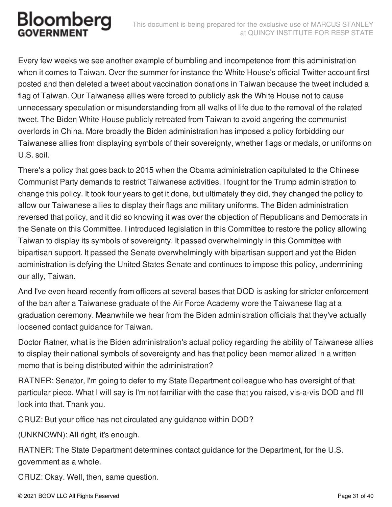Every few weeks we see another example of bumbling and incompetence from this administration when it comes to Taiwan. Over the summer for instance the White House's official Twitter account first posted and then deleted a tweet about vaccination donations in Taiwan because the tweet included a flag of Taiwan. Our Taiwanese allies were forced to publicly ask the White House not to cause unnecessary speculation or misunderstanding from all walks of life due to the removal of the related tweet. The Biden White House publicly retreated from Taiwan to avoid angering the communist overlords in China. More broadly the Biden administration has imposed a policy forbidding our Taiwanese allies from displaying symbols of their sovereignty, whether flags or medals, or uniforms on U.S. soil.

There's a policy that goes back to 2015 when the Obama administration capitulated to the Chinese Communist Party demands to restrict Taiwanese activities. I fought for the Trump administration to change this policy. It took four years to get it done, but ultimately they did, they changed the policy to allow our Taiwanese allies to display their flags and military uniforms. The Biden administration reversed that policy, and it did so knowing it was over the objection of Republicans and Democrats in the Senate on this Committee. I introduced legislation in this Committee to restore the policy allowing Taiwan to display its symbols of sovereignty. It passed overwhelmingly in this Committee with bipartisan support. It passed the Senate overwhelmingly with bipartisan support and yet the Biden administration is defying the United States Senate and continues to impose this policy, undermining our ally, Taiwan.

And I've even heard recently from officers at several bases that DOD is asking for stricter enforcement of the ban after a Taiwanese graduate of the Air Force Academy wore the Taiwanese flag at a graduation ceremony. Meanwhile we hear from the Biden administration officials that they've actually loosened contact guidance for Taiwan.

Doctor Ratner, what is the Biden administration's actual policy regarding the ability of Taiwanese allies to display their national symbols of sovereignty and has that policy been memorialized in a written memo that is being distributed within the administration?

RATNER: Senator, I'm going to defer to my State Department colleague who has oversight of that particular piece. What I will say is I'm not familiar with the case that you raised, vis-a-vis DOD and I'll look into that. Thank you.

CRUZ: But your office has not circulated any guidance within DOD?

(UNKNOWN): All right, it's enough.

RATNER: The State Department determines contact guidance for the Department, for the U.S. government as a whole.

CRUZ: Okay. Well, then, same question.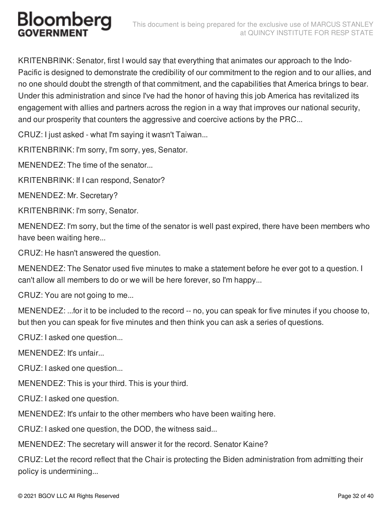KRITENBRINK: Senator, first I would say that everything that animates our approach to the Indo-Pacific is designed to demonstrate the credibility of our commitment to the region and to our allies, and no one should doubt the strength of that commitment, and the capabilities that America brings to bear. Under this administration and since I've had the honor of having this job America has revitalized its engagement with allies and partners across the region in a way that improves our national security, and our prosperity that counters the aggressive and coercive actions by the PRC...

CRUZ: I just asked - what I'm saying it wasn't Taiwan...

KRITENBRINK: I'm sorry, I'm sorry, yes, Senator.

MENENDEZ: The time of the senator...

KRITENBRINK: If I can respond, Senator?

MENENDEZ: Mr. Secretary?

KRITENBRINK: I'm sorry, Senator.

MENENDEZ: I'm sorry, but the time of the senator is well past expired, there have been members who have been waiting here...

CRUZ: He hasn't answered the question.

MENENDEZ: The Senator used five minutes to make a statement before he ever got to a question. I can't allow all members to do or we will be here forever, so I'm happy...

CRUZ: You are not going to me...

MENENDEZ: ...for it to be included to the record -- no, you can speak for five minutes if you choose to, but then you can speak for five minutes and then think you can ask a series of questions.

CRUZ: I asked one question...

MENENDEZ: It's unfair...

CRUZ: I asked one question...

MENENDEZ: This is your third. This is your third.

CRUZ: I asked one question.

MENENDEZ: It's unfair to the other members who have been waiting here.

CRUZ: I asked one question, the DOD, the witness said...

MENENDEZ: The secretary will answer it for the record. Senator Kaine?

CRUZ: Let the record reflect that the Chair is protecting the Biden administration from admitting their policy is undermining...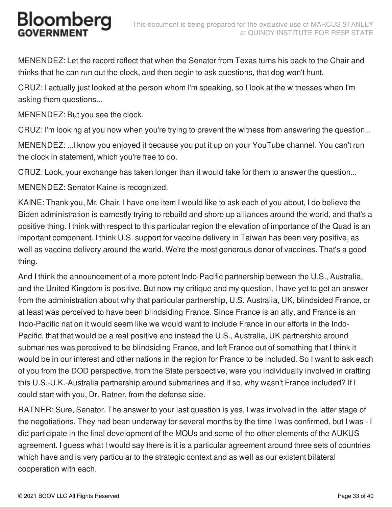MENENDEZ: Let the record reflect that when the Senator from Texas turns his back to the Chair and thinks that he can run out the clock, and then begin to ask questions, that dog won't hunt.

CRUZ: I actually just looked at the person whom I'm speaking, so I look at the witnesses when I'm asking them questions...

MENENDEZ: But you see the clock.

CRUZ: I'm looking at you now when you're trying to prevent the witness from answering the question...

MENENDEZ: ...I know you enjoyed it because you put it up on your YouTube channel. You can't run the clock in statement, which you're free to do.

CRUZ: Look, your exchange has taken longer than it would take for them to answer the question...

MENENDEZ: Senator Kaine is recognized.

KAINE: Thank you, Mr. Chair. I have one item I would like to ask each of you about, I do believe the Biden administration is earnestly trying to rebuild and shore up alliances around the world, and that's a positive thing. I think with respect to this particular region the elevation of importance of the Quad is an important component. I think U.S. support for vaccine delivery in Taiwan has been very positive, as well as vaccine delivery around the world. We're the most generous donor of vaccines. That's a good thing.

And I think the announcement of a more potent Indo-Pacific partnership between the U.S., Australia, and the United Kingdom is positive. But now my critique and my question, I have yet to get an answer from the administration about why that particular partnership, U.S. Australia, UK, blindsided France, or at least was perceived to have been blindsiding France. Since France is an ally, and France is an Indo-Pacific nation it would seem like we would want to include France in our efforts in the Indo-Pacific, that that would be a real positive and instead the U.S., Australia, UK partnership around submarines was perceived to be blindsiding France, and left France out of something that I think it would be in our interest and other nations in the region for France to be included. So I want to ask each of you from the DOD perspective, from the State perspective, were you individually involved in crafting this U.S.-U.K.-Australia partnership around submarines and if so, why wasn't France included? If I could start with you, Dr. Ratner, from the defense side.

RATNER: Sure, Senator. The answer to your last question is yes, I was involved in the latter stage of the negotiations. They had been underway for several months by the time I was confirmed, but I was - I did participate in the final development of the MOUs and some of the other elements of the AUKUS agreement. I guess what I would say there is it is a particular agreement around three sets of countries which have and is very particular to the strategic context and as well as our existent bilateral cooperation with each.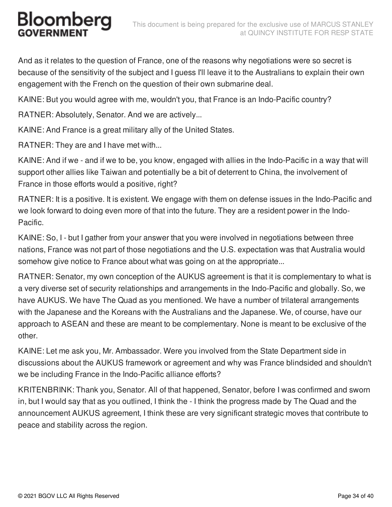And as it relates to the question of France, one of the reasons why negotiations were so secret is because of the sensitivity of the subject and I guess I'll leave it to the Australians to explain their own engagement with the French on the question of their own submarine deal.

KAINE: But you would agree with me, wouldn't you, that France is an Indo-Pacific country?

RATNER: Absolutely, Senator. And we are actively...

KAINE: And France is a great military ally of the United States.

RATNER: They are and I have met with...

KAINE: And if we - and if we to be, you know, engaged with allies in the Indo-Pacific in a way that will support other allies like Taiwan and potentially be a bit of deterrent to China, the involvement of France in those efforts would a positive, right?

RATNER: It is a positive. It is existent. We engage with them on defense issues in the Indo-Pacific and we look forward to doing even more of that into the future. They are a resident power in the Indo-Pacific.

KAINE: So, I - but I gather from your answer that you were involved in negotiations between three nations, France was not part of those negotiations and the U.S. expectation was that Australia would somehow give notice to France about what was going on at the appropriate...

RATNER: Senator, my own conception of the AUKUS agreement is that it is complementary to what is a very diverse set of security relationships and arrangements in the Indo-Pacific and globally. So, we have AUKUS. We have The Quad as you mentioned. We have a number of trilateral arrangements with the Japanese and the Koreans with the Australians and the Japanese. We, of course, have our approach to ASEAN and these are meant to be complementary. None is meant to be exclusive of the other.

KAINE: Let me ask you, Mr. Ambassador. Were you involved from the State Department side in discussions about the AUKUS framework or agreement and why was France blindsided and shouldn't we be including France in the Indo-Pacific alliance efforts?

KRITENBRINK: Thank you, Senator. All of that happened, Senator, before I was confirmed and sworn in, but I would say that as you outlined, I think the - I think the progress made by The Quad and the announcement AUKUS agreement, I think these are very significant strategic moves that contribute to peace and stability across the region.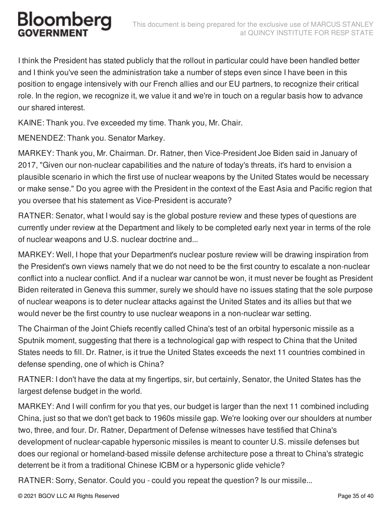I think the President has stated publicly that the rollout in particular could have been handled better and I think you've seen the administration take a number of steps even since I have been in this position to engage intensively with our French allies and our EU partners, to recognize their critical role. In the region, we recognize it, we value it and we're in touch on a regular basis how to advance our shared interest.

KAINE: Thank you. I've exceeded my time. Thank you, Mr. Chair.

MENENDEZ: Thank you. Senator Markey.

MARKEY: Thank you, Mr. Chairman. Dr. Ratner, then Vice-President Joe Biden said in January of 2017, "Given our non-nuclear capabilities and the nature of today's threats, it's hard to envision a plausible scenario in which the first use of nuclear weapons by the United States would be necessary or make sense." Do you agree with the President in the context of the East Asia and Pacific region that you oversee that his statement as Vice-President is accurate?

RATNER: Senator, what I would say is the global posture review and these types of questions are currently under review at the Department and likely to be completed early next year in terms of the role of nuclear weapons and U.S. nuclear doctrine and...

MARKEY: Well, I hope that your Department's nuclear posture review will be drawing inspiration from the President's own views namely that we do not need to be the first country to escalate a non-nuclear conflict into a nuclear conflict. And if a nuclear war cannot be won, it must never be fought as President Biden reiterated in Geneva this summer, surely we should have no issues stating that the sole purpose of nuclear weapons is to deter nuclear attacks against the United States and its allies but that we would never be the first country to use nuclear weapons in a non-nuclear war setting.

The Chairman of the Joint Chiefs recently called China's test of an orbital hypersonic missile as a Sputnik moment, suggesting that there is a technological gap with respect to China that the United States needs to fill. Dr. Ratner, is it true the United States exceeds the next 11 countries combined in defense spending, one of which is China?

RATNER: I don't have the data at my fingertips, sir, but certainly, Senator, the United States has the largest defense budget in the world.

MARKEY: And I will confirm for you that yes, our budget is larger than the next 11 combined including China, just so that we don't get back to 1960s missile gap. We're looking over our shoulders at number two, three, and four. Dr. Ratner, Department of Defense witnesses have testified that China's development of nuclear-capable hypersonic missiles is meant to counter U.S. missile defenses but does our regional or homeland-based missile defense architecture pose a threat to China's strategic deterrent be it from a traditional Chinese ICBM or a hypersonic glide vehicle?

RATNER: Sorry, Senator. Could you - could you repeat the question? Is our missile...

© 2021 BGOV LLC All Rights Reserved Page 35 of 40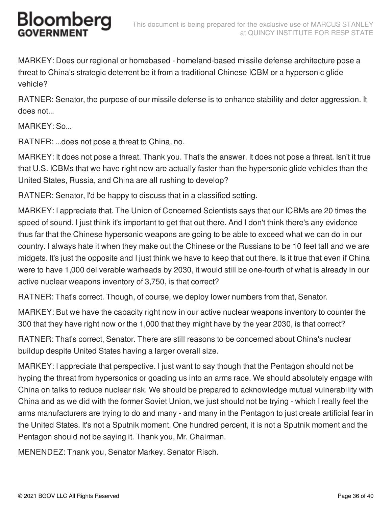MARKEY: Does our regional or homebased - homeland-based missile defense architecture pose a threat to China's strategic deterrent be it from a traditional Chinese ICBM or a hypersonic glide vehicle?

RATNER: Senator, the purpose of our missile defense is to enhance stability and deter aggression. It does not...

MARKEY: So...

RATNER: ...does not pose a threat to China, no.

MARKEY: It does not pose a threat. Thank you. That's the answer. It does not pose a threat. Isn't it true that U.S. ICBMs that we have right now are actually faster than the hypersonic glide vehicles than the United States, Russia, and China are all rushing to develop?

RATNER: Senator, I'd be happy to discuss that in a classified setting.

MARKEY: I appreciate that. The Union of Concerned Scientists says that our ICBMs are 20 times the speed of sound. I just think it's important to get that out there. And I don't think there's any evidence thus far that the Chinese hypersonic weapons are going to be able to exceed what we can do in our country. I always hate it when they make out the Chinese or the Russians to be 10 feet tall and we are midgets. It's just the opposite and I just think we have to keep that out there. Is it true that even if China were to have 1,000 deliverable warheads by 2030, it would still be one-fourth of what is already in our active nuclear weapons inventory of 3,750, is that correct?

RATNER: That's correct. Though, of course, we deploy lower numbers from that, Senator.

MARKEY: But we have the capacity right now in our active nuclear weapons inventory to counter the 300 that they have right now or the 1,000 that they might have by the year 2030, is that correct?

RATNER: That's correct, Senator. There are still reasons to be concerned about China's nuclear buildup despite United States having a larger overall size.

MARKEY: I appreciate that perspective. I just want to say though that the Pentagon should not be hyping the threat from hypersonics or goading us into an arms race. We should absolutely engage with China on talks to reduce nuclear risk. We should be prepared to acknowledge mutual vulnerability with China and as we did with the former Soviet Union, we just should not be trying - which I really feel the arms manufacturers are trying to do and many - and many in the Pentagon to just create artificial fear in the United States. It's not a Sputnik moment. One hundred percent, it is not a Sputnik moment and the Pentagon should not be saying it. Thank you, Mr. Chairman.

MENENDEZ: Thank you, Senator Markey. Senator Risch.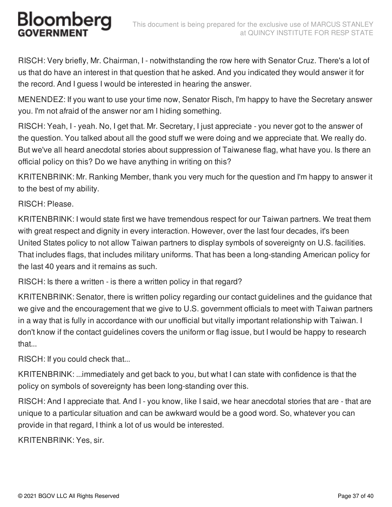RISCH: Very briefly, Mr. Chairman, I - notwithstanding the row here with Senator Cruz. There's a lot of us that do have an interest in that question that he asked. And you indicated they would answer it for the record. And I guess I would be interested in hearing the answer.

MENENDEZ: If you want to use your time now, Senator Risch, I'm happy to have the Secretary answer you. I'm not afraid of the answer nor am I hiding something.

RISCH: Yeah, I - yeah. No, I get that. Mr. Secretary, I just appreciate - you never got to the answer of the question. You talked about all the good stuff we were doing and we appreciate that. We really do. But we've all heard anecdotal stories about suppression of Taiwanese flag, what have you. Is there an official policy on this? Do we have anything in writing on this?

KRITENBRINK: Mr. Ranking Member, thank you very much for the question and I'm happy to answer it to the best of my ability.

#### RISCH: Please.

KRITENBRINK: I would state first we have tremendous respect for our Taiwan partners. We treat them with great respect and dignity in every interaction. However, over the last four decades, it's been United States policy to not allow Taiwan partners to display symbols of sovereignty on U.S. facilities. That includes flags, that includes military uniforms. That has been a long-standing American policy for the last 40 years and it remains as such.

RISCH: Is there a written - is there a written policy in that regard?

KRITENBRINK: Senator, there is written policy regarding our contact guidelines and the guidance that we give and the encouragement that we give to U.S. government officials to meet with Taiwan partners in a way that is fully in accordance with our unofficial but vitally important relationship with Taiwan. I don't know if the contact guidelines covers the uniform or flag issue, but I would be happy to research that...

RISCH: If you could check that...

KRITENBRINK: ...immediately and get back to you, but what I can state with confidence is that the policy on symbols of sovereignty has been long-standing over this.

RISCH: And I appreciate that. And I - you know, like I said, we hear anecdotal stories that are - that are unique to a particular situation and can be awkward would be a good word. So, whatever you can provide in that regard, I think a lot of us would be interested.

KRITENBRINK: Yes, sir.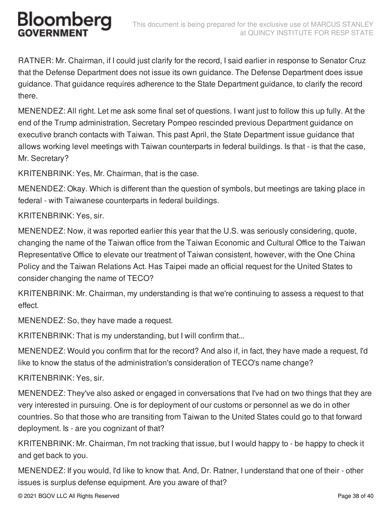RATNER: Mr. Chairman, if I could just clarify for the record, I said earlier in response to Senator Cruz that the Defense Department does not issue its own guidance. The Defense Department does issue guidance. That guidance requires adherence to the State Department guidance, to clarify the record there.

MENENDEZ: All right. Let me ask some final set of questions. I want just to follow this up fully. At the end of the Trump administration, Secretary Pompeo rescinded previous Department guidance on executive branch contacts with Taiwan. This past April, the State Department issue guidance that allows working level meetings with Taiwan counterparts in federal buildings. Is that - is that the case, Mr. Secretary?

KRITENBRINK: Yes, Mr. Chairman, that is the case.

MENENDEZ: Okay. Which is different than the question of symbols, but meetings are taking place in federal - with Taiwanese counterparts in federal buildings.

KRITENBRINK: Yes, sir.

MENENDEZ: Now, it was reported earlier this year that the U.S. was seriously considering, quote, changing the name of the Taiwan office from the Taiwan Economic and Cultural Office to the Taiwan Representative Office to elevate our treatment of Taiwan consistent, however, with the One China Policy and the Taiwan Relations Act. Has Taipei made an official request for the United States to consider changing the name of TECO?

KRITENBRINK: Mr. Chairman, my understanding is that we're continuing to assess a request to that effect.

MENENDEZ: So, they have made a request.

KRITENBRINK: That is my understanding, but I will confirm that...

MENENDEZ: Would you confirm that for the record? And also if, in fact, they have made a request, I'd like to know the status of the administration's consideration of TECO's name change?

#### KRITENBRINK: Yes, sir.

MENENDEZ: They've also asked or engaged in conversations that I've had on two things that they are very interested in pursuing. One is for deployment of our customs or personnel as we do in other countries. So that those who are transiting from Taiwan to the United States could go to that forward deployment. Is - are you cognizant of that?

KRITENBRINK: Mr. Chairman, I'm not tracking that issue, but I would happy to - be happy to check it and get back to you.

MENENDEZ: If you would, I'd like to know that. And, Dr. Ratner, I understand that one of their - other issues is surplus defense equipment. Are you aware of that?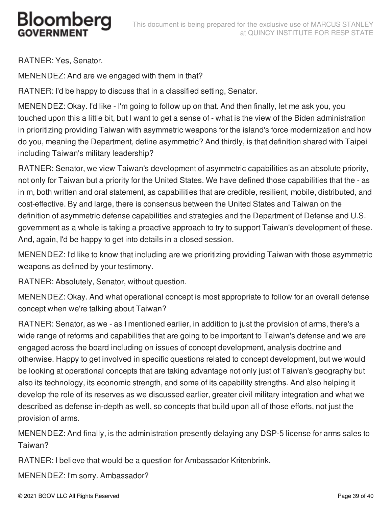RATNER: Yes, Senator.

MENENDEZ: And are we engaged with them in that?

RATNER: I'd be happy to discuss that in a classified setting, Senator.

MENENDEZ: Okay. I'd like - I'm going to follow up on that. And then finally, let me ask you, you touched upon this a little bit, but I want to get a sense of - what is the view of the Biden administration in prioritizing providing Taiwan with asymmetric weapons for the island's force modernization and how do you, meaning the Department, define asymmetric? And thirdly, is that definition shared with Taipei including Taiwan's military leadership?

RATNER: Senator, we view Taiwan's development of asymmetric capabilities as an absolute priority, not only for Taiwan but a priority for the United States. We have defined those capabilities that the - as in m, both written and oral statement, as capabilities that are credible, resilient, mobile, distributed, and cost-effective. By and large, there is consensus between the United States and Taiwan on the definition of asymmetric defense capabilities and strategies and the Department of Defense and U.S. government as a whole is taking a proactive approach to try to support Taiwan's development of these. And, again, I'd be happy to get into details in a closed session.

MENENDEZ: I'd like to know that including are we prioritizing providing Taiwan with those asymmetric weapons as defined by your testimony.

RATNER: Absolutely, Senator, without question.

MENENDEZ: Okay. And what operational concept is most appropriate to follow for an overall defense concept when we're talking about Taiwan?

RATNER: Senator, as we - as I mentioned earlier, in addition to just the provision of arms, there's a wide range of reforms and capabilities that are going to be important to Taiwan's defense and we are engaged across the board including on issues of concept development, analysis doctrine and otherwise. Happy to get involved in specific questions related to concept development, but we would be looking at operational concepts that are taking advantage not only just of Taiwan's geography but also its technology, its economic strength, and some of its capability strengths. And also helping it develop the role of its reserves as we discussed earlier, greater civil military integration and what we described as defense in-depth as well, so concepts that build upon all of those efforts, not just the provision of arms.

MENENDEZ: And finally, is the administration presently delaying any DSP-5 license for arms sales to Taiwan?

RATNER: I believe that would be a question for Ambassador Kritenbrink.

MENENDEZ: I'm sorry. Ambassador?